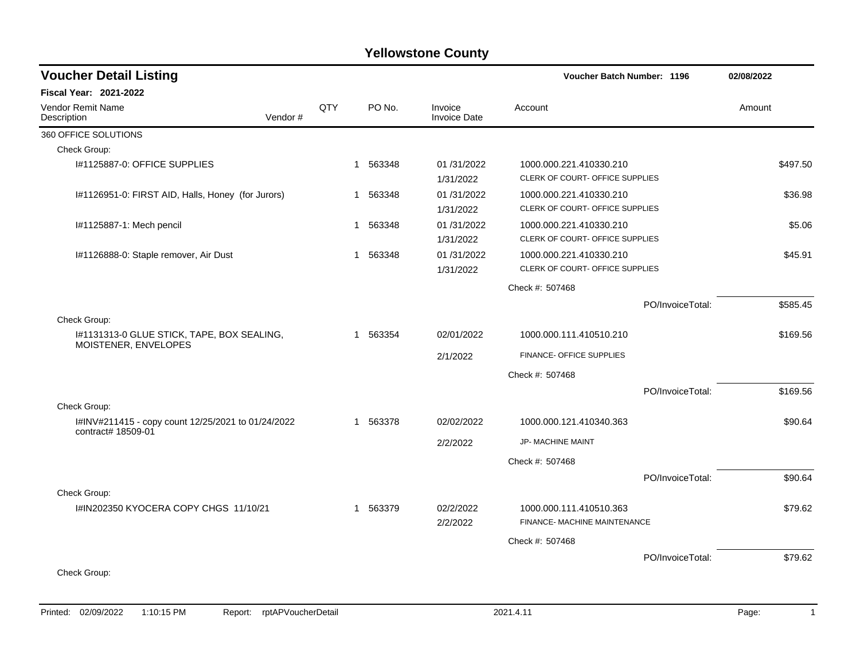| <b>Voucher Detail Listing</b>                                            |         |     |                        |                                | Voucher Batch Number: 1196                                 |                  | 02/08/2022 |
|--------------------------------------------------------------------------|---------|-----|------------------------|--------------------------------|------------------------------------------------------------|------------------|------------|
| Fiscal Year: 2021-2022                                                   |         |     |                        |                                |                                                            |                  |            |
| Vendor Remit Name<br>Description                                         | Vendor# | QTY | PO No.                 | Invoice<br><b>Invoice Date</b> | Account                                                    |                  | Amount     |
| 360 OFFICE SOLUTIONS                                                     |         |     |                        |                                |                                                            |                  |            |
| Check Group:                                                             |         |     |                        |                                |                                                            |                  |            |
| I#1125887-0: OFFICE SUPPLIES                                             |         |     | 563348<br>$\mathbf{1}$ | 01/31/2022<br>1/31/2022        | 1000.000.221.410330.210<br>CLERK OF COURT- OFFICE SUPPLIES |                  | \$497.50   |
| I#1126951-0: FIRST AID, Halls, Honey (for Jurors)                        |         |     | 1 563348               | 01/31/2022<br>1/31/2022        | 1000.000.221.410330.210<br>CLERK OF COURT- OFFICE SUPPLIES |                  | \$36.98    |
| I#1125887-1: Mech pencil                                                 |         |     | 1 563348               | 01/31/2022<br>1/31/2022        | 1000.000.221.410330.210<br>CLERK OF COURT- OFFICE SUPPLIES |                  | \$5.06     |
| I#1126888-0: Staple remover, Air Dust                                    |         |     | 563348<br>$\mathbf 1$  | 01/31/2022<br>1/31/2022        | 1000.000.221.410330.210<br>CLERK OF COURT- OFFICE SUPPLIES |                  | \$45.91    |
|                                                                          |         |     |                        |                                | Check #: 507468                                            |                  |            |
|                                                                          |         |     |                        |                                |                                                            | PO/InvoiceTotal: | \$585.45   |
| Check Group:                                                             |         |     |                        |                                |                                                            |                  |            |
| I#1131313-0 GLUE STICK, TAPE, BOX SEALING,<br>MOISTENER, ENVELOPES       |         |     | 1 563354               | 02/01/2022                     | 1000.000.111.410510.210                                    |                  | \$169.56   |
|                                                                          |         |     |                        | 2/1/2022                       | FINANCE- OFFICE SUPPLIES                                   |                  |            |
|                                                                          |         |     |                        |                                | Check #: 507468                                            |                  |            |
|                                                                          |         |     |                        |                                |                                                            | PO/InvoiceTotal: | \$169.56   |
| Check Group:                                                             |         |     |                        |                                |                                                            |                  |            |
| I#INV#211415 - copy count 12/25/2021 to 01/24/2022<br>contract# 18509-01 |         |     | 1 563378               | 02/02/2022                     | 1000.000.121.410340.363                                    |                  | \$90.64    |
|                                                                          |         |     |                        | 2/2/2022                       | JP- MACHINE MAINT                                          |                  |            |
|                                                                          |         |     |                        |                                | Check #: 507468                                            |                  |            |
|                                                                          |         |     |                        |                                |                                                            | PO/InvoiceTotal: | \$90.64    |
| Check Group:                                                             |         |     |                        |                                |                                                            |                  |            |
| I#IN202350 KYOCERA COPY CHGS 11/10/21                                    |         |     | 1 563379               | 02/2/2022<br>2/2/2022          | 1000.000.111.410510.363<br>FINANCE- MACHINE MAINTENANCE    |                  | \$79.62    |
|                                                                          |         |     |                        |                                | Check #: 507468                                            |                  |            |
|                                                                          |         |     |                        |                                |                                                            | PO/InvoiceTotal: | \$79.62    |
| Check Group:                                                             |         |     |                        |                                |                                                            |                  |            |
|                                                                          |         |     |                        |                                |                                                            |                  |            |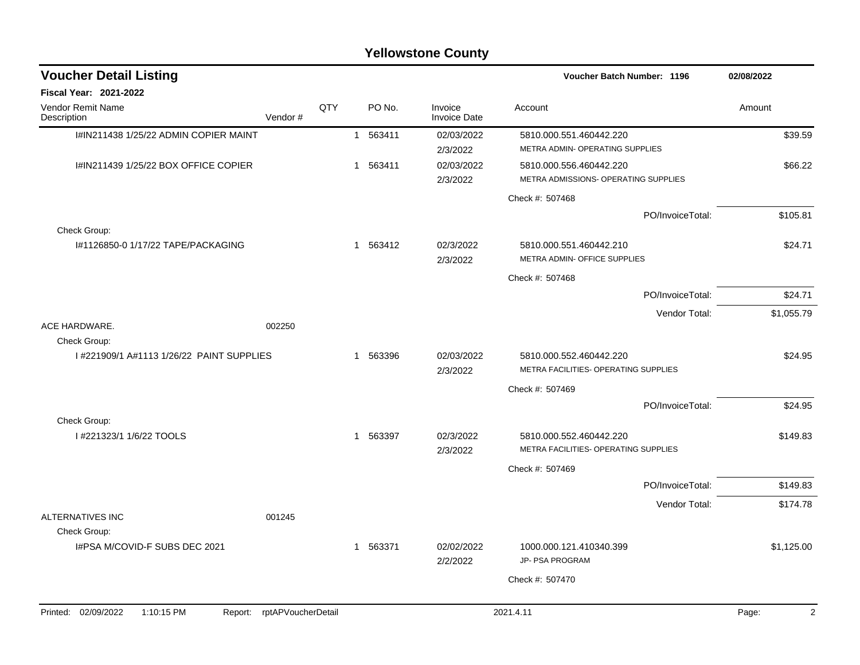| <b>Voucher Detail Listing</b>                |                    |     |              |          |                                | Voucher Batch Number: 1196                                      | 02/08/2022              |
|----------------------------------------------|--------------------|-----|--------------|----------|--------------------------------|-----------------------------------------------------------------|-------------------------|
| <b>Fiscal Year: 2021-2022</b>                |                    |     |              |          |                                |                                                                 |                         |
| Vendor Remit Name<br>Description             | Vendor#            | QTY |              | PO No.   | Invoice<br><b>Invoice Date</b> | Account                                                         | Amount                  |
| I#IN211438 1/25/22 ADMIN COPIER MAINT        |                    |     |              | 1 563411 | 02/03/2022<br>2/3/2022         | 5810.000.551.460442.220<br>METRA ADMIN- OPERATING SUPPLIES      | \$39.59                 |
| I#IN211439 1/25/22 BOX OFFICE COPIER         |                    |     |              | 1 563411 | 02/03/2022<br>2/3/2022         | 5810.000.556.460442.220<br>METRA ADMISSIONS- OPERATING SUPPLIES | \$66.22                 |
|                                              |                    |     |              |          |                                | Check #: 507468                                                 |                         |
| Check Group:                                 |                    |     |              |          |                                | PO/InvoiceTotal:                                                | \$105.81                |
| I#1126850-0 1/17/22 TAPE/PACKAGING           |                    |     |              | 1 563412 | 02/3/2022<br>2/3/2022          | 5810.000.551.460442.210<br>METRA ADMIN- OFFICE SUPPLIES         | \$24.71                 |
|                                              |                    |     |              |          |                                | Check #: 507468                                                 |                         |
|                                              |                    |     |              |          |                                | PO/InvoiceTotal:                                                | \$24.71                 |
| ACE HARDWARE.                                | 002250             |     |              |          |                                | Vendor Total:                                                   | \$1,055.79              |
| Check Group:                                 |                    |     |              |          |                                |                                                                 |                         |
| 1#221909/1 A#1113 1/26/22 PAINT SUPPLIES     |                    |     | $\mathbf{1}$ | 563396   | 02/03/2022<br>2/3/2022         | 5810.000.552.460442.220<br>METRA FACILITIES- OPERATING SUPPLIES | \$24.95                 |
|                                              |                    |     |              |          |                                | Check #: 507469                                                 |                         |
|                                              |                    |     |              |          |                                | PO/InvoiceTotal:                                                | \$24.95                 |
| Check Group:                                 |                    |     |              |          |                                |                                                                 |                         |
| I #221323/1 1/6/22 TOOLS                     |                    |     |              | 1 563397 | 02/3/2022<br>2/3/2022          | 5810.000.552.460442.220<br>METRA FACILITIES- OPERATING SUPPLIES | \$149.83                |
|                                              |                    |     |              |          |                                | Check #: 507469                                                 |                         |
|                                              |                    |     |              |          |                                | PO/InvoiceTotal:                                                | \$149.83                |
|                                              |                    |     |              |          |                                | Vendor Total:                                                   | \$174.78                |
| ALTERNATIVES INC<br>Check Group:             | 001245             |     |              |          |                                |                                                                 |                         |
| I#PSA M/COVID-F SUBS DEC 2021                |                    |     |              | 1 563371 | 02/02/2022<br>2/2/2022         | 1000.000.121.410340.399<br><b>JP- PSA PROGRAM</b>               | \$1,125.00              |
|                                              |                    |     |              |          |                                | Check #: 507470                                                 |                         |
|                                              |                    |     |              |          |                                |                                                                 |                         |
| Printed: 02/09/2022<br>1:10:15 PM<br>Report: | rptAPVoucherDetail |     |              |          |                                | 2021.4.11                                                       | $\overline{2}$<br>Page: |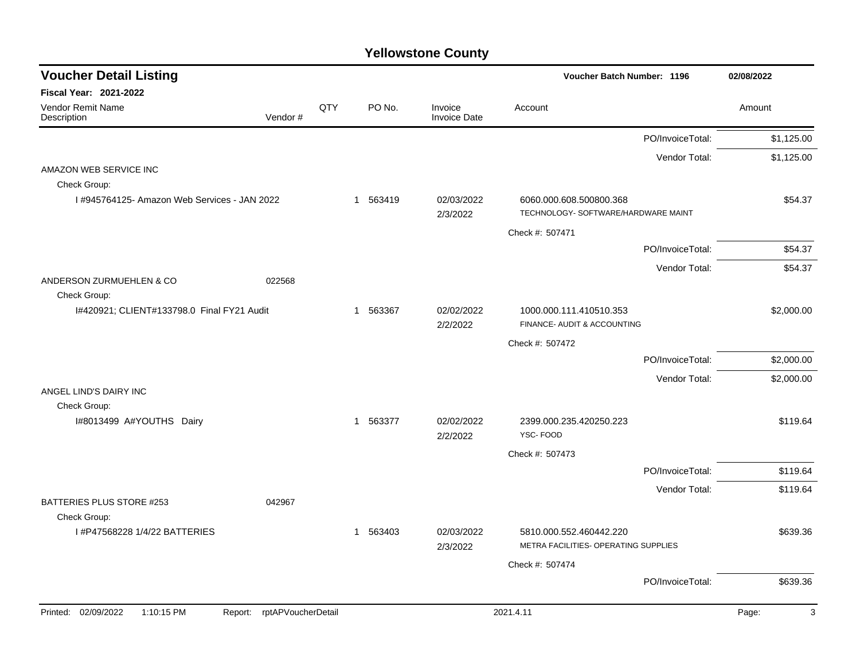| <b>Voucher Detail Listing</b>                                      |     |          |                                | Voucher Batch Number: 1196                                      | 02/08/2022 |
|--------------------------------------------------------------------|-----|----------|--------------------------------|-----------------------------------------------------------------|------------|
| <b>Fiscal Year: 2021-2022</b>                                      |     |          |                                |                                                                 |            |
| Vendor Remit Name<br>Vendor#<br>Description                        | QTY | PO No.   | Invoice<br><b>Invoice Date</b> | Account                                                         | Amount     |
|                                                                    |     |          |                                | PO/InvoiceTotal:                                                | \$1,125.00 |
|                                                                    |     |          |                                | Vendor Total:                                                   | \$1,125.00 |
| AMAZON WEB SERVICE INC                                             |     |          |                                |                                                                 |            |
| Check Group:                                                       |     |          |                                |                                                                 |            |
| 1#945764125- Amazon Web Services - JAN 2022                        |     | 1 563419 | 02/03/2022<br>2/3/2022         | 6060.000.608.500800.368<br>TECHNOLOGY- SOFTWARE/HARDWARE MAINT  | \$54.37    |
|                                                                    |     |          |                                | Check #: 507471                                                 |            |
|                                                                    |     |          |                                | PO/InvoiceTotal:                                                | \$54.37    |
| ANDERSON ZURMUEHLEN & CO<br>022568                                 |     |          |                                | Vendor Total:                                                   | \$54.37    |
| Check Group:                                                       |     |          |                                |                                                                 |            |
| I#420921; CLIENT#133798.0 Final FY21 Audit                         |     | 1 563367 | 02/02/2022<br>2/2/2022         | 1000.000.111.410510.353<br>FINANCE- AUDIT & ACCOUNTING          | \$2,000.00 |
|                                                                    |     |          |                                | Check #: 507472                                                 |            |
|                                                                    |     |          |                                | PO/InvoiceTotal:                                                | \$2,000.00 |
|                                                                    |     |          |                                | Vendor Total:                                                   | \$2,000.00 |
| ANGEL LIND'S DAIRY INC                                             |     |          |                                |                                                                 |            |
| Check Group:                                                       |     |          |                                |                                                                 |            |
| I#8013499 A#YOUTHS Dairy                                           |     | 1 563377 | 02/02/2022<br>2/2/2022         | 2399.000.235.420250.223<br>YSC-FOOD                             | \$119.64   |
|                                                                    |     |          |                                | Check #: 507473                                                 |            |
|                                                                    |     |          |                                | PO/InvoiceTotal:                                                | \$119.64   |
|                                                                    |     |          |                                | Vendor Total:                                                   | \$119.64   |
| BATTERIES PLUS STORE #253<br>042967                                |     |          |                                |                                                                 |            |
| Check Group:                                                       |     |          |                                |                                                                 |            |
| I #P47568228 1/4/22 BATTERIES                                      |     | 1 563403 | 02/03/2022<br>2/3/2022         | 5810.000.552.460442.220<br>METRA FACILITIES- OPERATING SUPPLIES | \$639.36   |
|                                                                    |     |          |                                | Check #: 507474                                                 |            |
|                                                                    |     |          |                                | PO/InvoiceTotal:                                                | \$639.36   |
| Printed: 02/09/2022<br>1:10:15 PM<br>rptAPVoucherDetail<br>Report: |     |          |                                | 2021.4.11                                                       | 3<br>Page: |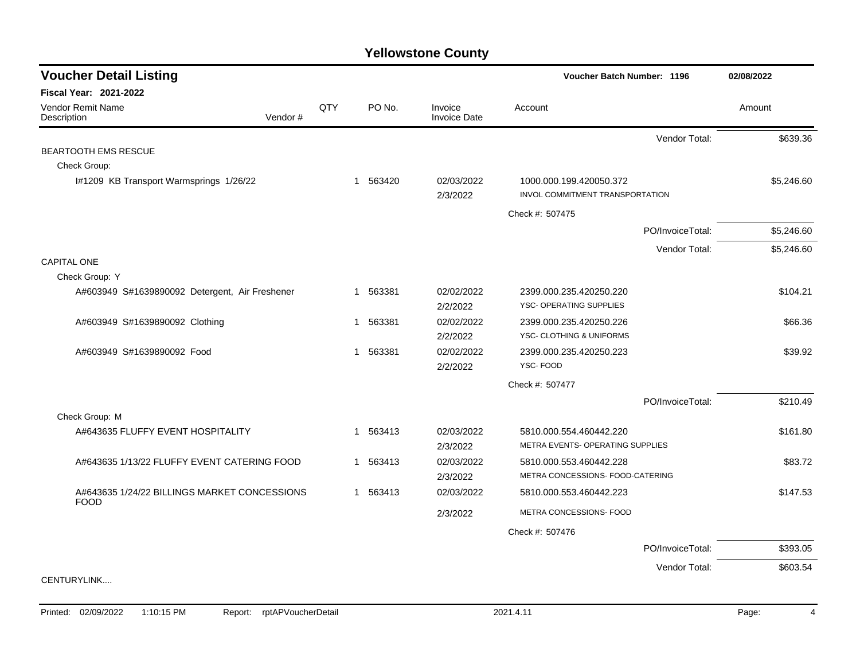| <b>Voucher Detail Listing</b>                               |         |            |             |                                | Voucher Batch Number: 1196       | 02/08/2022       |            |
|-------------------------------------------------------------|---------|------------|-------------|--------------------------------|----------------------------------|------------------|------------|
| <b>Fiscal Year: 2021-2022</b>                               |         |            |             |                                |                                  |                  |            |
| <b>Vendor Remit Name</b><br>Description                     | Vendor# | <b>QTY</b> | PO No.      | Invoice<br><b>Invoice Date</b> | Account                          |                  | Amount     |
|                                                             |         |            |             |                                |                                  | Vendor Total:    | \$639.36   |
| <b>BEARTOOTH EMS RESCUE</b>                                 |         |            |             |                                |                                  |                  |            |
| Check Group:                                                |         |            |             |                                |                                  |                  |            |
| I#1209 KB Transport Warmsprings 1/26/22                     |         |            | 563420<br>1 | 02/03/2022                     | 1000.000.199.420050.372          |                  | \$5,246.60 |
|                                                             |         |            |             | 2/3/2022                       | INVOL COMMITMENT TRANSPORTATION  |                  |            |
|                                                             |         |            |             |                                | Check #: 507475                  |                  |            |
|                                                             |         |            |             |                                |                                  | PO/InvoiceTotal: | \$5,246.60 |
|                                                             |         |            |             |                                |                                  | Vendor Total:    | \$5,246.60 |
| <b>CAPITAL ONE</b>                                          |         |            |             |                                |                                  |                  |            |
| Check Group: Y                                              |         |            |             |                                |                                  |                  |            |
| A#603949 S#1639890092 Detergent, Air Freshener              |         |            | 563381<br>1 | 02/02/2022                     | 2399.000.235.420250.220          |                  | \$104.21   |
|                                                             |         |            |             | 2/2/2022                       | YSC- OPERATING SUPPLIES          |                  |            |
| A#603949 S#1639890092 Clothing                              |         |            | 563381<br>1 | 02/02/2022                     | 2399.000.235.420250.226          |                  | \$66.36    |
|                                                             |         |            |             | 2/2/2022                       | YSC- CLOTHING & UNIFORMS         |                  |            |
| A#603949 S#1639890092 Food                                  |         |            | 563381<br>1 | 02/02/2022                     | 2399.000.235.420250.223          |                  | \$39.92    |
|                                                             |         |            |             | 2/2/2022                       | YSC-FOOD                         |                  |            |
|                                                             |         |            |             |                                | Check #: 507477                  |                  |            |
|                                                             |         |            |             |                                |                                  | PO/InvoiceTotal: | \$210.49   |
| Check Group: M                                              |         |            |             |                                |                                  |                  |            |
| A#643635 FLUFFY EVENT HOSPITALITY                           |         |            | 563413<br>1 | 02/03/2022                     | 5810.000.554.460442.220          |                  | \$161.80   |
|                                                             |         |            |             | 2/3/2022                       | METRA EVENTS- OPERATING SUPPLIES |                  |            |
| A#643635 1/13/22 FLUFFY EVENT CATERING FOOD                 |         |            | 563413<br>1 | 02/03/2022                     | 5810.000.553.460442.228          |                  | \$83.72    |
|                                                             |         |            |             | 2/3/2022                       | METRA CONCESSIONS- FOOD-CATERING |                  |            |
| A#643635 1/24/22 BILLINGS MARKET CONCESSIONS<br><b>FOOD</b> |         |            | 563413<br>1 | 02/03/2022                     | 5810.000.553.460442.223          |                  | \$147.53   |
|                                                             |         |            |             | 2/3/2022                       | METRA CONCESSIONS- FOOD          |                  |            |
|                                                             |         |            |             |                                | Check #: 507476                  |                  |            |
|                                                             |         |            |             |                                |                                  | PO/InvoiceTotal: | \$393.05   |
|                                                             |         |            |             |                                |                                  | Vendor Total:    | \$603.54   |
| CENTURYLINK                                                 |         |            |             |                                |                                  |                  |            |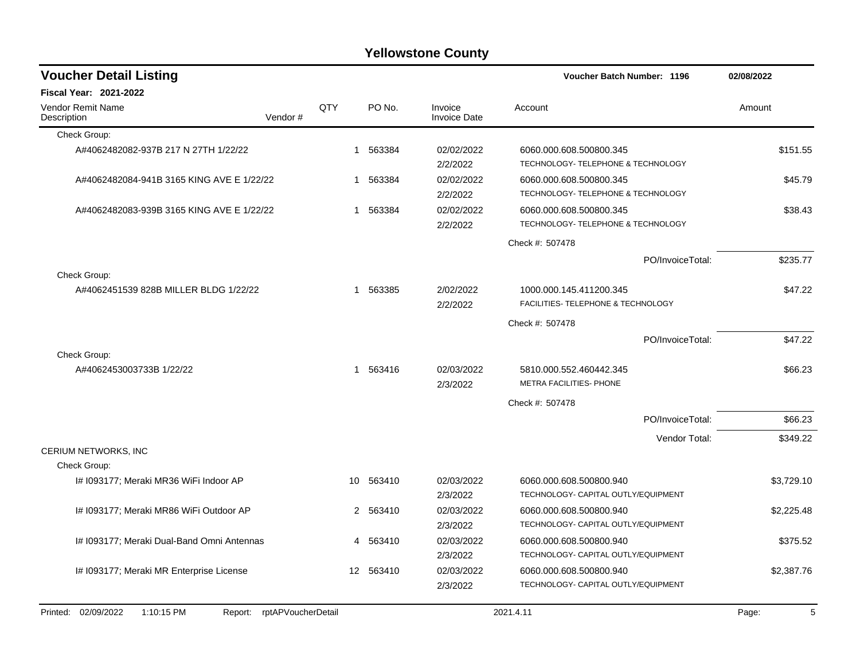| <b>Voucher Detail Listing</b>                         |                               |                 |           |                                | <b>Voucher Batch Number: 1196</b>                              |                  | 02/08/2022 |  |
|-------------------------------------------------------|-------------------------------|-----------------|-----------|--------------------------------|----------------------------------------------------------------|------------------|------------|--|
| <b>Fiscal Year: 2021-2022</b>                         |                               |                 |           |                                |                                                                |                  |            |  |
| <b>Vendor Remit Name</b><br>Description               | Vendor#                       | QTY             | PO No.    | Invoice<br><b>Invoice Date</b> | Account                                                        |                  | Amount     |  |
| Check Group:                                          |                               |                 |           |                                |                                                                |                  |            |  |
| A#4062482082-937B 217 N 27TH 1/22/22                  |                               | $\mathbf 1$     | 563384    | 02/02/2022<br>2/2/2022         | 6060.000.608.500800.345<br>TECHNOLOGY- TELEPHONE & TECHNOLOGY  |                  | \$151.55   |  |
| A#4062482084-941B 3165 KING AVE E 1/22/22             |                               | 1               | 563384    | 02/02/2022<br>2/2/2022         | 6060.000.608.500800.345<br>TECHNOLOGY- TELEPHONE & TECHNOLOGY  |                  | \$45.79    |  |
| A#4062482083-939B 3165 KING AVE E 1/22/22             |                               | 1               | 563384    | 02/02/2022<br>2/2/2022         | 6060.000.608.500800.345<br>TECHNOLOGY- TELEPHONE & TECHNOLOGY  |                  | \$38.43    |  |
|                                                       |                               |                 |           |                                | Check #: 507478                                                |                  |            |  |
|                                                       |                               |                 |           |                                |                                                                | PO/InvoiceTotal: | \$235.77   |  |
| Check Group:<br>A#4062451539 828B MILLER BLDG 1/22/22 |                               | 1               | 563385    | 2/02/2022<br>2/2/2022          | 1000.000.145.411200.345<br>FACILITIES- TELEPHONE & TECHNOLOGY  |                  | \$47.22    |  |
|                                                       |                               |                 |           |                                | Check #: 507478                                                |                  |            |  |
|                                                       |                               |                 |           |                                |                                                                | PO/InvoiceTotal: | \$47.22    |  |
| Check Group:                                          |                               |                 |           |                                |                                                                |                  |            |  |
| A#4062453003733B 1/22/22                              |                               | 1               | 563416    | 02/03/2022<br>2/3/2022         | 5810.000.552.460442.345<br>METRA FACILITIES- PHONE             |                  | \$66.23    |  |
|                                                       |                               |                 |           |                                | Check #: 507478                                                |                  |            |  |
|                                                       |                               |                 |           |                                |                                                                | PO/InvoiceTotal: | \$66.23    |  |
|                                                       |                               |                 |           |                                |                                                                | Vendor Total:    | \$349.22   |  |
| CERIUM NETWORKS, INC                                  |                               |                 |           |                                |                                                                |                  |            |  |
| Check Group:                                          |                               |                 |           |                                |                                                                |                  |            |  |
| I# 1093177; Meraki MR36 WiFi Indoor AP                |                               | 10 <sup>1</sup> | 563410    | 02/03/2022<br>2/3/2022         | 6060.000.608.500800.940<br>TECHNOLOGY- CAPITAL OUTLY/EQUIPMENT |                  | \$3,729.10 |  |
| I# 1093177; Meraki MR86 WiFi Outdoor AP               |                               |                 | 2 563410  | 02/03/2022<br>2/3/2022         | 6060.000.608.500800.940<br>TECHNOLOGY- CAPITAL OUTLY/EQUIPMENT |                  | \$2,225.48 |  |
| I# 1093177; Meraki Dual-Band Omni Antennas            |                               |                 | 4 563410  | 02/03/2022<br>2/3/2022         | 6060.000.608.500800.940<br>TECHNOLOGY- CAPITAL OUTLY/EQUIPMENT |                  | \$375.52   |  |
| I# 1093177; Meraki MR Enterprise License              |                               |                 | 12 563410 | 02/03/2022<br>2/3/2022         | 6060.000.608.500800.940<br>TECHNOLOGY- CAPITAL OUTLY/EQUIPMENT |                  | \$2,387.76 |  |
| Printed: 02/09/2022<br>1:10:15 PM                     | rptAPVoucherDetail<br>Report: |                 |           |                                | 2021.4.11                                                      |                  | Page:      |  |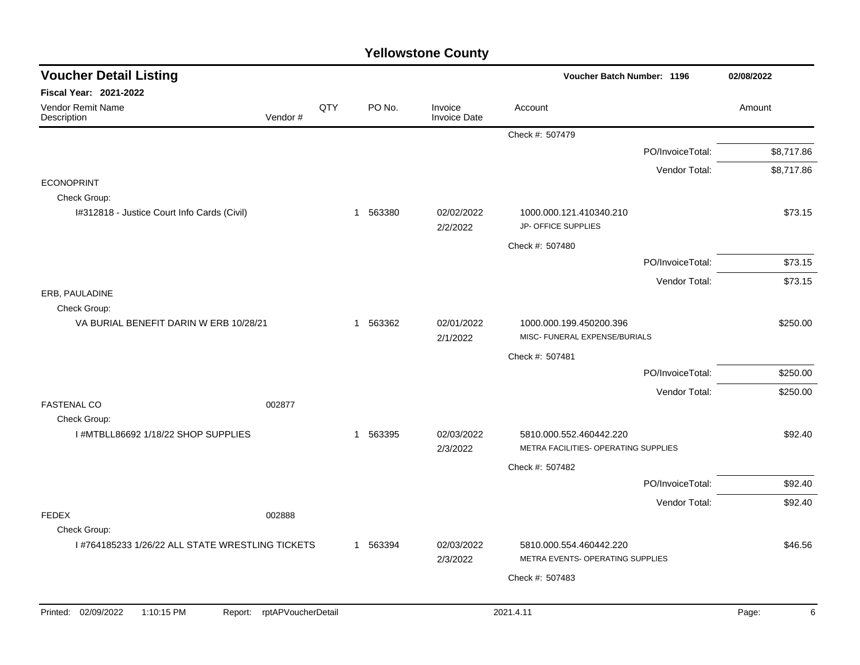| <b>Voucher Detail Listing</b>                                      |     |          |                                | <b>Voucher Batch Number: 1196</b>                               |                  | 02/08/2022 |
|--------------------------------------------------------------------|-----|----------|--------------------------------|-----------------------------------------------------------------|------------------|------------|
| Fiscal Year: 2021-2022                                             |     |          |                                |                                                                 |                  |            |
| <b>Vendor Remit Name</b><br>Vendor#<br>Description                 | QTY | PO No.   | Invoice<br><b>Invoice Date</b> | Account                                                         |                  | Amount     |
|                                                                    |     |          |                                | Check #: 507479                                                 |                  |            |
|                                                                    |     |          |                                |                                                                 | PO/InvoiceTotal: | \$8,717.86 |
|                                                                    |     |          |                                |                                                                 | Vendor Total:    | \$8,717.86 |
| <b>ECONOPRINT</b><br>Check Group:                                  |     |          |                                |                                                                 |                  |            |
| I#312818 - Justice Court Info Cards (Civil)                        |     | 1 563380 | 02/02/2022<br>2/2/2022         | 1000.000.121.410340.210<br>JP- OFFICE SUPPLIES                  |                  | \$73.15    |
|                                                                    |     |          |                                | Check #: 507480                                                 |                  |            |
|                                                                    |     |          |                                |                                                                 | PO/InvoiceTotal: | \$73.15    |
|                                                                    |     |          |                                |                                                                 | Vendor Total:    | \$73.15    |
| ERB, PAULADINE                                                     |     |          |                                |                                                                 |                  |            |
| Check Group:<br>VA BURIAL BENEFIT DARIN W ERB 10/28/21             |     | 1 563362 | 02/01/2022                     | 1000.000.199.450200.396                                         |                  | \$250.00   |
|                                                                    |     |          | 2/1/2022                       | MISC- FUNERAL EXPENSE/BURIALS                                   |                  |            |
|                                                                    |     |          |                                | Check #: 507481                                                 |                  |            |
|                                                                    |     |          |                                |                                                                 | PO/InvoiceTotal: | \$250.00   |
|                                                                    |     |          |                                |                                                                 | Vendor Total:    | \$250.00   |
| <b>FASTENAL CO</b><br>002877<br>Check Group:                       |     |          |                                |                                                                 |                  |            |
| I #MTBLL86692 1/18/22 SHOP SUPPLIES                                |     | 1 563395 | 02/03/2022<br>2/3/2022         | 5810.000.552.460442.220<br>METRA FACILITIES- OPERATING SUPPLIES |                  | \$92.40    |
|                                                                    |     |          |                                | Check #: 507482                                                 |                  |            |
|                                                                    |     |          |                                |                                                                 | PO/InvoiceTotal: | \$92.40    |
|                                                                    |     |          |                                |                                                                 | Vendor Total:    | \$92.40    |
| <b>FEDEX</b><br>002888                                             |     |          |                                |                                                                 |                  |            |
| Check Group:                                                       |     |          |                                |                                                                 |                  |            |
| I #764185233 1/26/22 ALL STATE WRESTLING TICKETS                   |     | 1 563394 | 02/03/2022<br>2/3/2022         | 5810.000.554.460442.220<br>METRA EVENTS- OPERATING SUPPLIES     |                  | \$46.56    |
|                                                                    |     |          |                                | Check #: 507483                                                 |                  |            |
|                                                                    |     |          |                                |                                                                 |                  |            |
| Printed: 02/09/2022<br>1:10:15 PM<br>rptAPVoucherDetail<br>Report: |     |          |                                | 2021.4.11                                                       |                  | 6<br>Page: |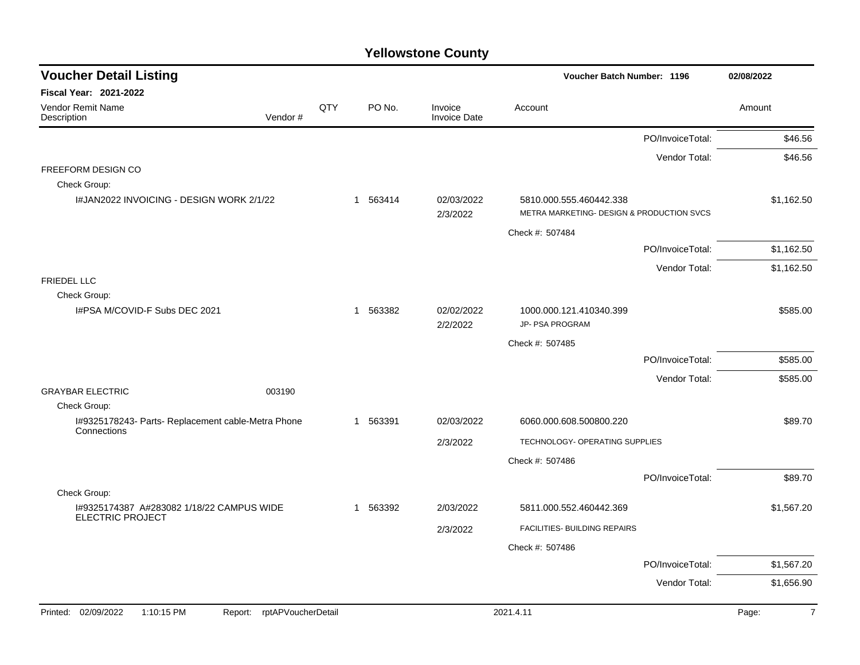| <b>Voucher Detail Listing</b>                                     |                    |             |                                | Voucher Batch Number: 1196                |                  | 02/08/2022              |
|-------------------------------------------------------------------|--------------------|-------------|--------------------------------|-------------------------------------------|------------------|-------------------------|
| Fiscal Year: 2021-2022                                            |                    |             |                                |                                           |                  |                         |
| Vendor Remit Name<br>Vendor#<br>Description                       | QTY                | PO No.      | Invoice<br><b>Invoice Date</b> | Account                                   |                  | Amount                  |
|                                                                   |                    |             |                                |                                           | PO/InvoiceTotal: | \$46.56                 |
|                                                                   |                    |             |                                |                                           | Vendor Total:    | \$46.56                 |
| FREEFORM DESIGN CO                                                |                    |             |                                |                                           |                  |                         |
| Check Group:                                                      |                    |             |                                |                                           |                  |                         |
| I#JAN2022 INVOICING - DESIGN WORK 2/1/22                          |                    | 1 563414    | 02/03/2022                     | 5810.000.555.460442.338                   |                  | \$1,162.50              |
|                                                                   |                    |             | 2/3/2022                       | METRA MARKETING- DESIGN & PRODUCTION SVCS |                  |                         |
|                                                                   |                    |             |                                | Check #: 507484                           |                  |                         |
|                                                                   |                    |             |                                |                                           | PO/InvoiceTotal: | \$1,162.50              |
|                                                                   |                    |             |                                |                                           | Vendor Total:    | \$1,162.50              |
| <b>FRIEDEL LLC</b>                                                |                    |             |                                |                                           |                  |                         |
| Check Group:<br>I#PSA M/COVID-F Subs DEC 2021                     |                    | 1 563382    | 02/02/2022                     | 1000.000.121.410340.399                   |                  | \$585.00                |
|                                                                   |                    |             | 2/2/2022                       | JP- PSA PROGRAM                           |                  |                         |
|                                                                   |                    |             |                                | Check #: 507485                           |                  |                         |
|                                                                   |                    |             |                                |                                           | PO/InvoiceTotal: | \$585.00                |
|                                                                   |                    |             |                                |                                           | Vendor Total:    | \$585.00                |
| <b>GRAYBAR ELECTRIC</b><br>003190                                 |                    |             |                                |                                           |                  |                         |
| Check Group:                                                      |                    |             |                                |                                           |                  |                         |
| I#9325178243- Parts- Replacement cable-Metra Phone<br>Connections |                    | 563391<br>1 | 02/03/2022                     | 6060.000.608.500800.220                   |                  | \$89.70                 |
|                                                                   |                    |             | 2/3/2022                       | TECHNOLOGY- OPERATING SUPPLIES            |                  |                         |
|                                                                   |                    |             |                                | Check #: 507486                           |                  |                         |
|                                                                   |                    |             |                                |                                           | PO/InvoiceTotal: | \$89.70                 |
| Check Group:                                                      |                    |             |                                |                                           |                  |                         |
| I#9325174387 A#283082 1/18/22 CAMPUS WIDE                         |                    | 1 563392    | 2/03/2022                      | 5811.000.552.460442.369                   |                  | \$1,567.20              |
| <b>ELECTRIC PROJECT</b>                                           |                    |             | 2/3/2022                       | FACILITIES- BUILDING REPAIRS              |                  |                         |
|                                                                   |                    |             |                                | Check #: 507486                           |                  |                         |
|                                                                   |                    |             |                                |                                           | PO/InvoiceTotal: | \$1,567.20              |
|                                                                   |                    |             |                                |                                           | Vendor Total:    | \$1,656.90              |
|                                                                   |                    |             |                                |                                           |                  |                         |
| Printed: 02/09/2022<br>1:10:15 PM<br>Report:                      | rptAPVoucherDetail |             |                                | 2021.4.11                                 |                  | $\overline{7}$<br>Page: |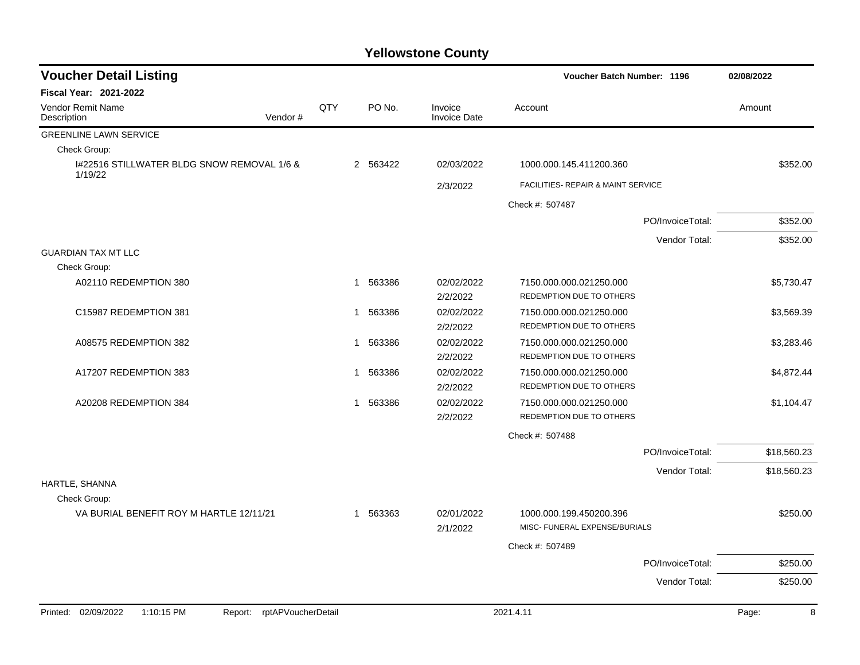| <b>Voucher Detail Listing</b><br><b>Voucher Batch Number: 1196</b> |                    |     |             |                                |                                                          |                  | 02/08/2022  |
|--------------------------------------------------------------------|--------------------|-----|-------------|--------------------------------|----------------------------------------------------------|------------------|-------------|
| <b>Fiscal Year: 2021-2022</b>                                      |                    |     |             |                                |                                                          |                  |             |
| <b>Vendor Remit Name</b><br>Description                            | Vendor#            | QTY | PO No.      | Invoice<br><b>Invoice Date</b> | Account                                                  |                  | Amount      |
| <b>GREENLINE LAWN SERVICE</b>                                      |                    |     |             |                                |                                                          |                  |             |
| Check Group:                                                       |                    |     |             |                                |                                                          |                  |             |
| I#22516 STILLWATER BLDG SNOW REMOVAL 1/6 &<br>1/19/22              |                    |     | 2 563422    | 02/03/2022                     | 1000.000.145.411200.360                                  |                  | \$352.00    |
|                                                                    |                    |     |             | 2/3/2022                       | FACILITIES- REPAIR & MAINT SERVICE                       |                  |             |
|                                                                    |                    |     |             |                                | Check #: 507487                                          |                  |             |
|                                                                    |                    |     |             |                                |                                                          | PO/InvoiceTotal: | \$352.00    |
|                                                                    |                    |     |             |                                |                                                          | Vendor Total:    | \$352.00    |
| <b>GUARDIAN TAX MT LLC</b>                                         |                    |     |             |                                |                                                          |                  |             |
| Check Group:                                                       |                    |     |             |                                |                                                          |                  |             |
| A02110 REDEMPTION 380                                              |                    |     | 563386<br>1 | 02/02/2022<br>2/2/2022         | 7150.000.000.021250.000<br>REDEMPTION DUE TO OTHERS      |                  | \$5,730.47  |
| C15987 REDEMPTION 381                                              |                    |     | 563386<br>1 | 02/02/2022<br>2/2/2022         | 7150.000.000.021250.000<br>REDEMPTION DUE TO OTHERS      |                  | \$3,569.39  |
| A08575 REDEMPTION 382                                              |                    |     | 563386<br>1 | 02/02/2022<br>2/2/2022         | 7150.000.000.021250.000<br>REDEMPTION DUE TO OTHERS      |                  | \$3,283.46  |
| A17207 REDEMPTION 383                                              |                    |     | 563386<br>1 | 02/02/2022<br>2/2/2022         | 7150.000.000.021250.000<br>REDEMPTION DUE TO OTHERS      |                  | \$4,872.44  |
| A20208 REDEMPTION 384                                              |                    |     | 563386<br>1 | 02/02/2022<br>2/2/2022         | 7150.000.000.021250.000<br>REDEMPTION DUE TO OTHERS      |                  | \$1,104.47  |
|                                                                    |                    |     |             |                                | Check #: 507488                                          |                  |             |
|                                                                    |                    |     |             |                                |                                                          | PO/InvoiceTotal: | \$18,560.23 |
|                                                                    |                    |     |             |                                |                                                          | Vendor Total:    | \$18,560.23 |
| HARTLE, SHANNA                                                     |                    |     |             |                                |                                                          |                  |             |
| Check Group:                                                       |                    |     |             |                                |                                                          |                  |             |
| VA BURIAL BENEFIT ROY M HARTLE 12/11/21                            |                    |     | 563363<br>1 | 02/01/2022<br>2/1/2022         | 1000.000.199.450200.396<br>MISC- FUNERAL EXPENSE/BURIALS |                  | \$250.00    |
|                                                                    |                    |     |             |                                | Check #: 507489                                          |                  |             |
|                                                                    |                    |     |             |                                |                                                          | PO/InvoiceTotal: | \$250.00    |
|                                                                    |                    |     |             |                                |                                                          | Vendor Total:    | \$250.00    |
|                                                                    |                    |     |             |                                |                                                          |                  |             |
| 02/09/2022<br>1:10:15 PM<br>Printed:<br>Report:                    | rptAPVoucherDetail |     |             |                                | 2021.4.11                                                |                  | 8<br>Page:  |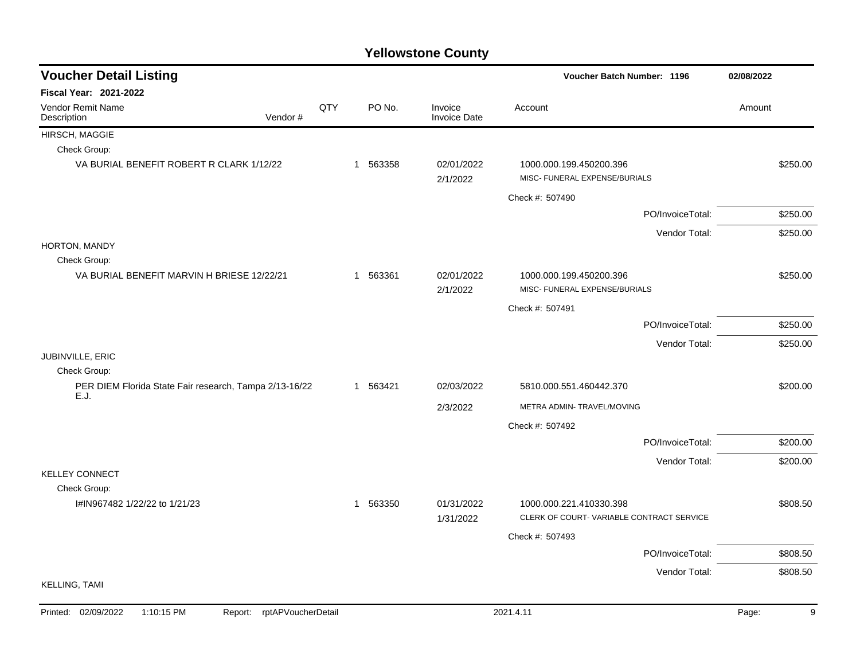| <b>Voucher Detail Listing</b>                                      |     |          |                                | Voucher Batch Number: 1196                               | 02/08/2022 |  |
|--------------------------------------------------------------------|-----|----------|--------------------------------|----------------------------------------------------------|------------|--|
| <b>Fiscal Year: 2021-2022</b>                                      |     |          |                                |                                                          |            |  |
| <b>Vendor Remit Name</b><br>Vendor#<br>Description                 | QTY | PO No.   | Invoice<br><b>Invoice Date</b> | Account                                                  | Amount     |  |
| HIRSCH, MAGGIE                                                     |     |          |                                |                                                          |            |  |
| Check Group:                                                       |     |          |                                |                                                          |            |  |
| VA BURIAL BENEFIT ROBERT R CLARK 1/12/22                           |     | 1 563358 | 02/01/2022<br>2/1/2022         | 1000.000.199.450200.396<br>MISC- FUNERAL EXPENSE/BURIALS | \$250.00   |  |
|                                                                    |     |          |                                | Check #: 507490                                          |            |  |
|                                                                    |     |          |                                | PO/InvoiceTotal:                                         | \$250.00   |  |
|                                                                    |     |          |                                | Vendor Total:                                            | \$250.00   |  |
| HORTON, MANDY                                                      |     |          |                                |                                                          |            |  |
| Check Group:                                                       |     |          |                                |                                                          |            |  |
| VA BURIAL BENEFIT MARVIN H BRIESE 12/22/21                         |     | 1 563361 | 02/01/2022<br>2/1/2022         | 1000.000.199.450200.396<br>MISC- FUNERAL EXPENSE/BURIALS | \$250.00   |  |
|                                                                    |     |          |                                | Check #: 507491                                          |            |  |
|                                                                    |     |          |                                | PO/InvoiceTotal:                                         | \$250.00   |  |
|                                                                    |     |          |                                | Vendor Total:                                            | \$250.00   |  |
| JUBINVILLE, ERIC                                                   |     |          |                                |                                                          |            |  |
| Check Group:                                                       |     |          |                                |                                                          |            |  |
| PER DIEM Florida State Fair research, Tampa 2/13-16/22<br>E.J.     |     | 1 563421 | 02/03/2022                     | 5810.000.551.460442.370                                  | \$200.00   |  |
|                                                                    |     |          | 2/3/2022                       | METRA ADMIN- TRAVEL/MOVING                               |            |  |
|                                                                    |     |          |                                | Check #: 507492                                          |            |  |
|                                                                    |     |          |                                | PO/InvoiceTotal:                                         | \$200.00   |  |
|                                                                    |     |          |                                | Vendor Total:                                            | \$200.00   |  |
| <b>KELLEY CONNECT</b>                                              |     |          |                                |                                                          |            |  |
| Check Group:<br>I#IN967482 1/22/22 to 1/21/23                      |     | 1 563350 | 01/31/2022                     | 1000.000.221.410330.398                                  | \$808.50   |  |
|                                                                    |     |          | 1/31/2022                      | CLERK OF COURT-VARIABLE CONTRACT SERVICE                 |            |  |
|                                                                    |     |          |                                | Check #: 507493                                          |            |  |
|                                                                    |     |          |                                | PO/InvoiceTotal:                                         | \$808.50   |  |
|                                                                    |     |          |                                | Vendor Total:                                            | \$808.50   |  |
| <b>KELLING, TAMI</b>                                               |     |          |                                |                                                          |            |  |
| Printed: 02/09/2022<br>1:10:15 PM<br>rptAPVoucherDetail<br>Report: |     |          |                                | 2021.4.11                                                | 9<br>Page: |  |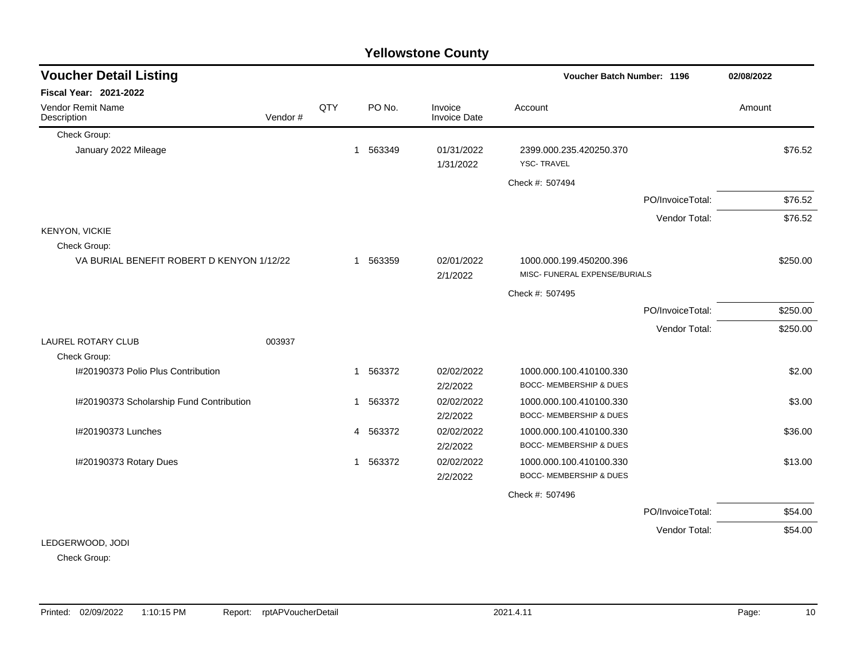|                                           |         |     |                        | <b>Yellowstone County</b>      |                                                               |                  |            |
|-------------------------------------------|---------|-----|------------------------|--------------------------------|---------------------------------------------------------------|------------------|------------|
| <b>Voucher Detail Listing</b>             |         |     |                        |                                | <b>Voucher Batch Number: 1196</b>                             |                  | 02/08/2022 |
| <b>Fiscal Year: 2021-2022</b>             |         |     |                        |                                |                                                               |                  |            |
| Vendor Remit Name<br>Description          | Vendor# | QTY | PO No.                 | Invoice<br><b>Invoice Date</b> | Account                                                       |                  | Amount     |
| Check Group:                              |         |     |                        |                                |                                                               |                  |            |
| January 2022 Mileage                      |         |     | 1 563349               | 01/31/2022<br>1/31/2022        | 2399.000.235.420250.370<br><b>YSC-TRAVEL</b>                  |                  | \$76.52    |
|                                           |         |     |                        |                                | Check #: 507494                                               |                  |            |
|                                           |         |     |                        |                                |                                                               | PO/InvoiceTotal: | \$76.52    |
|                                           |         |     |                        |                                |                                                               | Vendor Total:    | \$76.52    |
| <b>KENYON, VICKIE</b>                     |         |     |                        |                                |                                                               |                  |            |
| Check Group:                              |         |     |                        |                                |                                                               |                  |            |
| VA BURIAL BENEFIT ROBERT D KENYON 1/12/22 |         |     | 563359<br>1            | 02/01/2022<br>2/1/2022         | 1000.000.199.450200.396<br>MISC- FUNERAL EXPENSE/BURIALS      |                  | \$250.00   |
|                                           |         |     |                        |                                | Check #: 507495                                               |                  |            |
|                                           |         |     |                        |                                |                                                               | PO/InvoiceTotal: | \$250.00   |
|                                           |         |     |                        |                                |                                                               | Vendor Total:    | \$250.00   |
| <b>LAUREL ROTARY CLUB</b>                 | 003937  |     |                        |                                |                                                               |                  |            |
| Check Group:                              |         |     |                        |                                |                                                               |                  |            |
| I#20190373 Polio Plus Contribution        |         |     | 1 563372               | 02/02/2022                     | 1000.000.100.410100.330                                       |                  | \$2.00     |
|                                           |         |     |                        | 2/2/2022                       | <b>BOCC- MEMBERSHIP &amp; DUES</b>                            |                  |            |
| I#20190373 Scholarship Fund Contribution  |         |     | 563372<br>1            | 02/02/2022<br>2/2/2022         | 1000.000.100.410100.330<br><b>BOCC- MEMBERSHIP &amp; DUES</b> |                  | \$3.00     |
| I#20190373 Lunches                        |         |     | 4 563372               | 02/02/2022                     | 1000.000.100.410100.330                                       |                  | \$36.00    |
|                                           |         |     |                        | 2/2/2022                       | <b>BOCC- MEMBERSHIP &amp; DUES</b>                            |                  |            |
| I#20190373 Rotary Dues                    |         |     | 563372<br>$\mathbf{1}$ | 02/02/2022                     | 1000.000.100.410100.330                                       |                  | \$13.00    |
|                                           |         |     |                        | 2/2/2022                       | <b>BOCC- MEMBERSHIP &amp; DUES</b>                            |                  |            |
|                                           |         |     |                        |                                | Check #: 507496                                               |                  |            |
|                                           |         |     |                        |                                |                                                               | PO/InvoiceTotal: | \$54.00    |
|                                           |         |     |                        |                                |                                                               | Vendor Total:    | \$54.00    |
| LEDGERWOOD, JODI                          |         |     |                        |                                |                                                               |                  |            |

Check Group: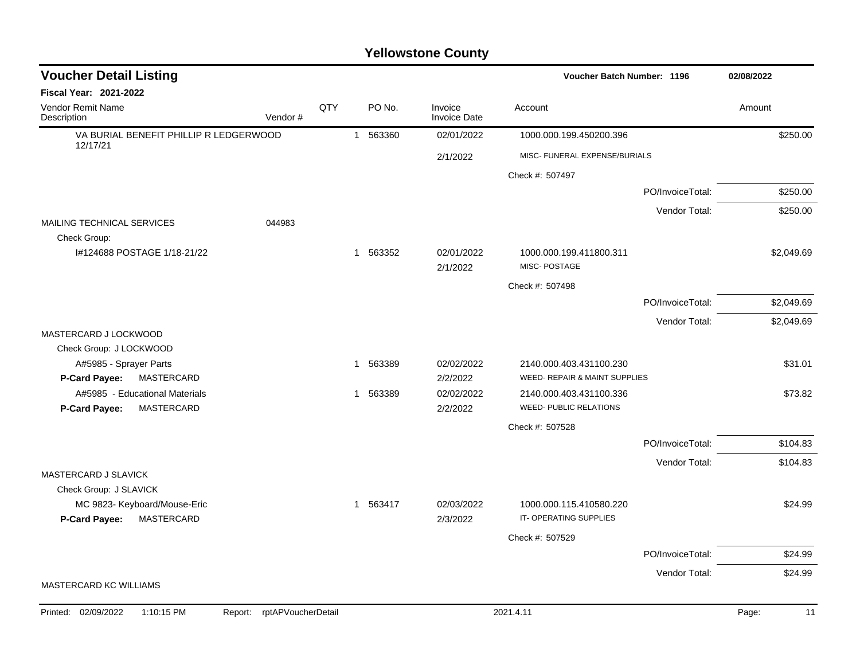| <b>Voucher Detail Listing</b>                                      |                               |     |          |                                | Voucher Batch Number: 1196                               |                  | 02/08/2022  |
|--------------------------------------------------------------------|-------------------------------|-----|----------|--------------------------------|----------------------------------------------------------|------------------|-------------|
| <b>Fiscal Year: 2021-2022</b>                                      |                               |     |          |                                |                                                          |                  |             |
| <b>Vendor Remit Name</b><br>Description                            | Vendor#                       | QTY | PO No.   | Invoice<br><b>Invoice Date</b> | Account                                                  |                  | Amount      |
| VA BURIAL BENEFIT PHILLIP R LEDGERWOOD<br>12/17/21                 |                               |     | 1 563360 | 02/01/2022                     | 1000.000.199.450200.396                                  |                  | \$250.00    |
|                                                                    |                               |     |          | 2/1/2022                       | MISC- FUNERAL EXPENSE/BURIALS                            |                  |             |
|                                                                    |                               |     |          |                                | Check #: 507497                                          |                  |             |
|                                                                    |                               |     |          |                                |                                                          | PO/InvoiceTotal: | \$250.00    |
| MAILING TECHNICAL SERVICES                                         | 044983                        |     |          |                                |                                                          | Vendor Total:    | \$250.00    |
| Check Group:<br>I#124688 POSTAGE 1/18-21/22                        |                               |     | 1 563352 | 02/01/2022<br>2/1/2022         | 1000.000.199.411800.311<br>MISC-POSTAGE                  |                  | \$2,049.69  |
|                                                                    |                               |     |          |                                | Check #: 507498                                          |                  |             |
|                                                                    |                               |     |          |                                |                                                          | PO/InvoiceTotal: | \$2,049.69  |
| MASTERCARD J LOCKWOOD<br>Check Group: J LOCKWOOD                   |                               |     |          |                                |                                                          | Vendor Total:    | \$2,049.69  |
| A#5985 - Sprayer Parts<br>P-Card Payee:<br>MASTERCARD              |                               |     | 1 563389 | 02/02/2022<br>2/2/2022         | 2140.000.403.431100.230<br>WEED- REPAIR & MAINT SUPPLIES |                  | \$31.01     |
| A#5985 - Educational Materials<br>P-Card Payee:<br>MASTERCARD      |                               |     | 1 563389 | 02/02/2022<br>2/2/2022         | 2140.000.403.431100.336<br><b>WEED- PUBLIC RELATIONS</b> |                  | \$73.82     |
|                                                                    |                               |     |          |                                | Check #: 507528                                          |                  |             |
|                                                                    |                               |     |          |                                |                                                          | PO/InvoiceTotal: | \$104.83    |
| MASTERCARD J SLAVICK<br>Check Group: J SLAVICK                     |                               |     |          |                                |                                                          | Vendor Total:    | \$104.83    |
| MC 9823- Keyboard/Mouse-Eric<br><b>P-Card Payee:</b><br>MASTERCARD |                               |     | 1 563417 | 02/03/2022<br>2/3/2022         | 1000.000.115.410580.220<br>IT-OPERATING SUPPLIES         |                  | \$24.99     |
|                                                                    |                               |     |          |                                | Check #: 507529                                          |                  |             |
|                                                                    |                               |     |          |                                |                                                          | PO/InvoiceTotal: | \$24.99     |
|                                                                    |                               |     |          |                                |                                                          | Vendor Total:    | \$24.99     |
| MASTERCARD KC WILLIAMS                                             |                               |     |          |                                |                                                          |                  |             |
| Printed: 02/09/2022<br>1:10:15 PM                                  | rptAPVoucherDetail<br>Report: |     |          |                                | 2021.4.11                                                |                  | Page:<br>11 |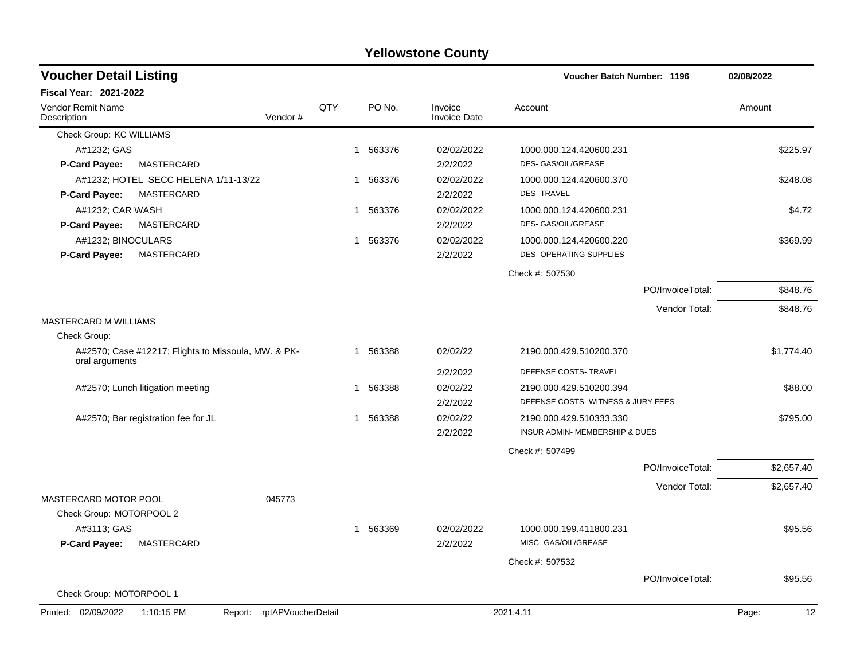| <b>Voucher Detail Listing</b>           |                                                     |                    |     |                        |                                | Voucher Batch Number: 1196        |                  | 02/08/2022  |
|-----------------------------------------|-----------------------------------------------------|--------------------|-----|------------------------|--------------------------------|-----------------------------------|------------------|-------------|
| <b>Fiscal Year: 2021-2022</b>           |                                                     |                    |     |                        |                                |                                   |                  |             |
| <b>Vendor Remit Name</b><br>Description |                                                     | Vendor#            | QTY | PO No.                 | Invoice<br><b>Invoice Date</b> | Account                           |                  | Amount      |
| Check Group: KC WILLIAMS                |                                                     |                    |     |                        |                                |                                   |                  |             |
| A#1232; GAS                             |                                                     |                    |     | 1 563376               | 02/02/2022                     | 1000.000.124.420600.231           |                  | \$225.97    |
| <b>P-Card Payee:</b>                    | MASTERCARD                                          |                    |     |                        | 2/2/2022                       | DES- GAS/OIL/GREASE               |                  |             |
|                                         | A#1232; HOTEL SECC HELENA 1/11-13/22                |                    |     | 1 563376               | 02/02/2022                     | 1000.000.124.420600.370           |                  | \$248.08    |
| <b>P-Card Payee:</b>                    | MASTERCARD                                          |                    |     |                        | 2/2/2022                       | <b>DES-TRAVEL</b>                 |                  |             |
| A#1232; CAR WASH                        |                                                     |                    |     | 563376<br>1            | 02/02/2022                     | 1000.000.124.420600.231           |                  | \$4.72      |
| <b>P-Card Payee:</b>                    | MASTERCARD                                          |                    |     |                        | 2/2/2022                       | DES- GAS/OIL/GREASE               |                  |             |
| A#1232; BINOCULARS                      |                                                     |                    |     | 563376<br>1.           | 02/02/2022                     | 1000.000.124.420600.220           |                  | \$369.99    |
| <b>P-Card Payee:</b>                    | MASTERCARD                                          |                    |     |                        | 2/2/2022                       | DES- OPERATING SUPPLIES           |                  |             |
|                                         |                                                     |                    |     |                        |                                | Check #: 507530                   |                  |             |
|                                         |                                                     |                    |     |                        |                                |                                   | PO/InvoiceTotal: | \$848.76    |
|                                         |                                                     |                    |     |                        |                                |                                   | Vendor Total:    | \$848.76    |
| MASTERCARD M WILLIAMS                   |                                                     |                    |     |                        |                                |                                   |                  |             |
| Check Group:                            |                                                     |                    |     |                        |                                |                                   |                  |             |
| oral arguments                          | A#2570; Case #12217; Flights to Missoula, MW. & PK- |                    |     | 563388<br>1            | 02/02/22                       | 2190.000.429.510200.370           |                  | \$1,774.40  |
|                                         |                                                     |                    |     |                        | 2/2/2022                       | DEFENSE COSTS- TRAVEL             |                  |             |
|                                         | A#2570; Lunch litigation meeting                    |                    |     | 563388<br>1            | 02/02/22                       | 2190.000.429.510200.394           |                  | \$88.00     |
|                                         |                                                     |                    |     |                        | 2/2/2022                       | DEFENSE COSTS-WITNESS & JURY FEES |                  |             |
|                                         | A#2570; Bar registration fee for JL                 |                    |     | 563388<br>1            | 02/02/22                       | 2190.000.429.510333.330           |                  | \$795.00    |
|                                         |                                                     |                    |     |                        | 2/2/2022                       | INSUR ADMIN- MEMBERSHIP & DUES    |                  |             |
|                                         |                                                     |                    |     |                        |                                | Check #: 507499                   |                  |             |
|                                         |                                                     |                    |     |                        |                                |                                   | PO/InvoiceTotal: | \$2,657.40  |
|                                         |                                                     |                    |     |                        |                                |                                   | Vendor Total:    | \$2,657.40  |
| MASTERCARD MOTOR POOL                   |                                                     | 045773             |     |                        |                                |                                   |                  |             |
| Check Group: MOTORPOOL 2                |                                                     |                    |     |                        |                                |                                   |                  |             |
| A#3113; GAS                             |                                                     |                    |     | 563369<br>$\mathbf{1}$ | 02/02/2022                     | 1000.000.199.411800.231           |                  | \$95.56     |
| P-Card Payee:                           | MASTERCARD                                          |                    |     |                        | 2/2/2022                       | MISC- GAS/OIL/GREASE              |                  |             |
|                                         |                                                     |                    |     |                        |                                | Check #: 507532                   |                  |             |
|                                         |                                                     |                    |     |                        |                                |                                   | PO/InvoiceTotal: | \$95.56     |
| Check Group: MOTORPOOL 1                |                                                     |                    |     |                        |                                |                                   |                  |             |
| Printed: 02/09/2022                     | 1:10:15 PM<br>Report:                               | rptAPVoucherDetail |     |                        |                                | 2021.4.11                         |                  | Page:<br>12 |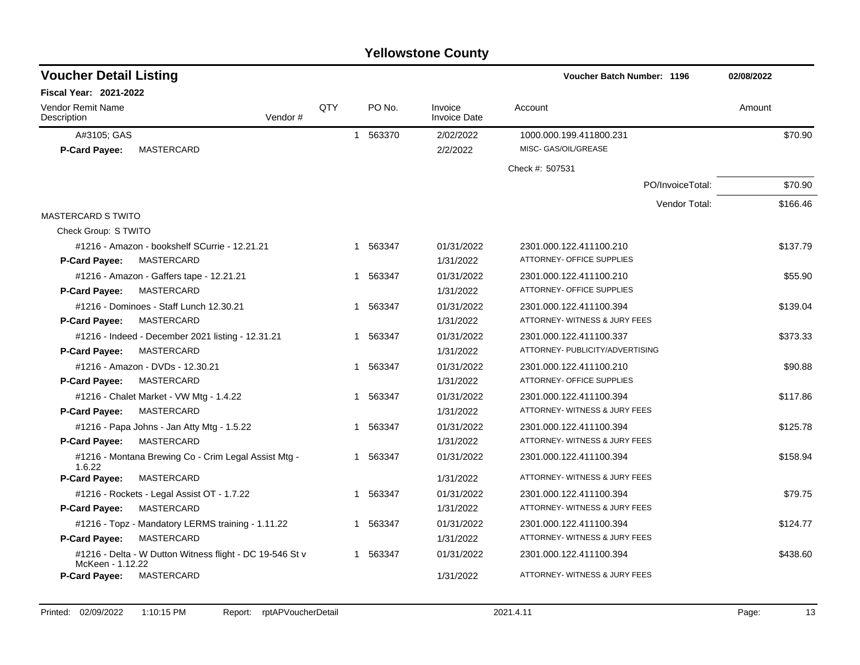| <b>Voucher Detail Listing</b>                                                |                |   |          |                                | <b>Voucher Batch Number: 1196</b> | 02/08/2022 |
|------------------------------------------------------------------------------|----------------|---|----------|--------------------------------|-----------------------------------|------------|
| <b>Fiscal Year: 2021-2022</b>                                                |                |   |          |                                |                                   |            |
| <b>Vendor Remit Name</b><br>Description                                      | QTY<br>Vendor# |   | PO No.   | Invoice<br><b>Invoice Date</b> | Account                           | Amount     |
| A#3105; GAS                                                                  |                |   | 1 563370 | 2/02/2022                      | 1000.000.199.411800.231           | \$70.90    |
| MASTERCARD<br><b>P-Card Payee:</b>                                           |                |   |          | 2/2/2022                       | MISC- GAS/OIL/GREASE              |            |
|                                                                              |                |   |          |                                | Check #: 507531                   |            |
|                                                                              |                |   |          |                                | PO/InvoiceTotal:                  | \$70.90    |
|                                                                              |                |   |          |                                | Vendor Total:                     | \$166.46   |
| <b>MASTERCARD S TWITO</b>                                                    |                |   |          |                                |                                   |            |
| Check Group: S TWITO                                                         |                |   |          |                                |                                   |            |
| #1216 - Amazon - bookshelf SCurrie - 12.21.21                                |                |   | 1 563347 | 01/31/2022                     | 2301.000.122.411100.210           | \$137.79   |
| MASTERCARD<br><b>P-Card Payee:</b>                                           |                |   |          | 1/31/2022                      | ATTORNEY- OFFICE SUPPLIES         |            |
| #1216 - Amazon - Gaffers tape - 12.21.21                                     |                |   | 1 563347 | 01/31/2022                     | 2301.000.122.411100.210           | \$55.90    |
| MASTERCARD<br>P-Card Payee:                                                  |                |   |          | 1/31/2022                      | ATTORNEY- OFFICE SUPPLIES         |            |
| #1216 - Dominoes - Staff Lunch 12.30.21                                      |                |   | 1 563347 | 01/31/2022                     | 2301.000.122.411100.394           | \$139.04   |
| MASTERCARD<br><b>P-Card Payee:</b>                                           |                |   |          | 1/31/2022                      | ATTORNEY- WITNESS & JURY FEES     |            |
| #1216 - Indeed - December 2021 listing - 12.31.21                            |                |   | 1 563347 | 01/31/2022                     | 2301.000.122.411100.337           | \$373.33   |
| MASTERCARD<br><b>P-Card Payee:</b>                                           |                |   |          | 1/31/2022                      | ATTORNEY- PUBLICITY/ADVERTISING   |            |
| #1216 - Amazon - DVDs - 12.30.21                                             |                |   | 1 563347 | 01/31/2022                     | 2301.000.122.411100.210           | \$90.88    |
| MASTERCARD<br><b>P-Card Payee:</b>                                           |                |   |          | 1/31/2022                      | ATTORNEY- OFFICE SUPPLIES         |            |
| #1216 - Chalet Market - VW Mtg - 1.4.22                                      |                |   | 1 563347 | 01/31/2022                     | 2301.000.122.411100.394           | \$117.86   |
| MASTERCARD<br>P-Card Payee:                                                  |                |   |          | 1/31/2022                      | ATTORNEY- WITNESS & JURY FEES     |            |
| #1216 - Papa Johns - Jan Atty Mtg - 1.5.22                                   |                |   | 1 563347 | 01/31/2022                     | 2301.000.122.411100.394           | \$125.78   |
| MASTERCARD<br>P-Card Payee:                                                  |                |   |          | 1/31/2022                      | ATTORNEY- WITNESS & JURY FEES     |            |
| #1216 - Montana Brewing Co - Crim Legal Assist Mtg -<br>1.6.22               |                |   | 1 563347 | 01/31/2022                     | 2301.000.122.411100.394           | \$158.94   |
| P-Card Payee:<br>MASTERCARD                                                  |                |   |          | 1/31/2022                      | ATTORNEY- WITNESS & JURY FEES     |            |
| #1216 - Rockets - Legal Assist OT - 1.7.22                                   |                |   | 1 563347 | 01/31/2022                     | 2301.000.122.411100.394           | \$79.75    |
| <b>P-Card Payee:</b><br>MASTERCARD                                           |                |   |          | 1/31/2022                      | ATTORNEY- WITNESS & JURY FEES     |            |
| #1216 - Topz - Mandatory LERMS training - 1.11.22                            |                | 1 | 563347   | 01/31/2022                     | 2301.000.122.411100.394           | \$124.77   |
| <b>P-Card Payee:</b><br>MASTERCARD                                           |                |   |          | 1/31/2022                      | ATTORNEY- WITNESS & JURY FEES     |            |
| #1216 - Delta - W Dutton Witness flight - DC 19-546 St v<br>McKeen - 1.12.22 |                |   | 1 563347 | 01/31/2022                     | 2301.000.122.411100.394           | \$438.60   |
| MASTERCARD<br><b>P-Card Payee:</b>                                           |                |   |          | 1/31/2022                      | ATTORNEY- WITNESS & JURY FEES     |            |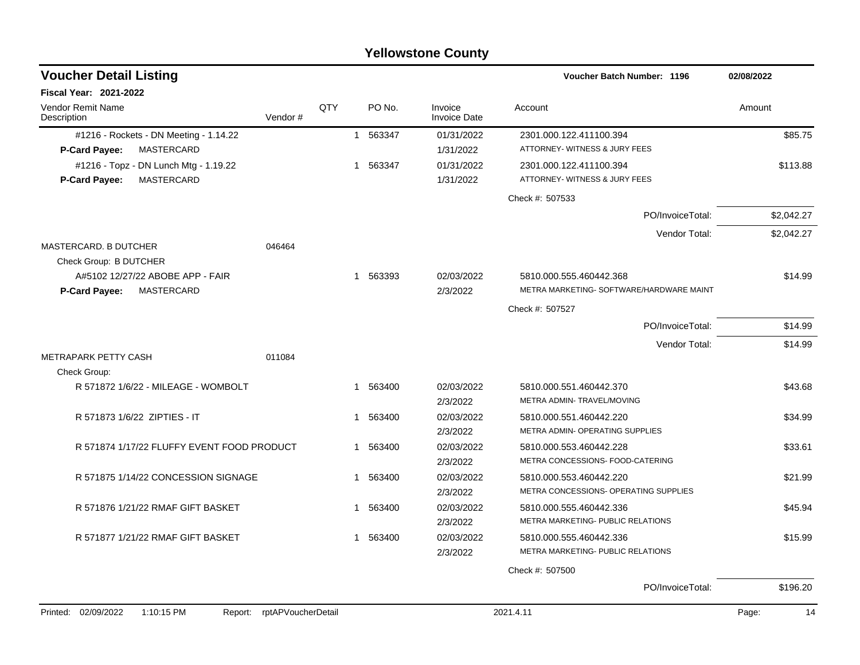|                                                                      |                            |     |   |          | <b>Yellowstone County</b>      |                                                              |                  |            |            |
|----------------------------------------------------------------------|----------------------------|-----|---|----------|--------------------------------|--------------------------------------------------------------|------------------|------------|------------|
| <b>Voucher Detail Listing</b>                                        |                            |     |   |          |                                | <b>Voucher Batch Number: 1196</b>                            |                  | 02/08/2022 |            |
| <b>Fiscal Year: 2021-2022</b>                                        |                            |     |   |          |                                |                                                              |                  |            |            |
| Vendor Remit Name<br>Description                                     | Vendor#                    | QTY |   | PO No.   | Invoice<br><b>Invoice Date</b> | Account                                                      |                  | Amount     |            |
| #1216 - Rockets - DN Meeting - 1.14.22                               |                            |     |   | 1 563347 | 01/31/2022                     | 2301.000.122.411100.394                                      |                  |            | \$85.75    |
| <b>MASTERCARD</b><br>P-Card Payee:                                   |                            |     |   |          | 1/31/2022                      | ATTORNEY- WITNESS & JURY FEES                                |                  |            |            |
| #1216 - Topz - DN Lunch Mtg - 1.19.22<br>MASTERCARD<br>P-Card Payee: |                            |     | 1 | 563347   | 01/31/2022<br>1/31/2022        | 2301.000.122.411100.394<br>ATTORNEY- WITNESS & JURY FEES     |                  |            | \$113.88   |
|                                                                      |                            |     |   |          |                                | Check #: 507533                                              |                  |            |            |
|                                                                      |                            |     |   |          |                                |                                                              | PO/InvoiceTotal: |            | \$2,042.27 |
|                                                                      |                            |     |   |          |                                |                                                              | Vendor Total:    |            | \$2,042.27 |
| MASTERCARD. B DUTCHER                                                | 046464                     |     |   |          |                                |                                                              |                  |            |            |
| Check Group: B DUTCHER<br>A#5102 12/27/22 ABOBE APP - FAIR           |                            |     | 1 | 563393   | 02/03/2022                     | 5810.000.555.460442.368                                      |                  |            | \$14.99    |
| MASTERCARD<br><b>P-Card Payee:</b>                                   |                            |     |   |          | 2/3/2022                       | METRA MARKETING- SOFTWARE/HARDWARE MAINT                     |                  |            |            |
|                                                                      |                            |     |   |          |                                | Check #: 507527                                              |                  |            |            |
|                                                                      |                            |     |   |          |                                |                                                              | PO/InvoiceTotal: |            | \$14.99    |
|                                                                      |                            |     |   |          |                                |                                                              | Vendor Total:    |            | \$14.99    |
| <b>METRAPARK PETTY CASH</b>                                          | 011084                     |     |   |          |                                |                                                              |                  |            |            |
| Check Group:                                                         |                            |     |   |          |                                |                                                              |                  |            |            |
| R 571872 1/6/22 - MILEAGE - WOMBOLT                                  |                            |     | 1 | 563400   | 02/03/2022                     | 5810.000.551.460442.370<br>METRA ADMIN- TRAVEL/MOVING        |                  |            | \$43.68    |
| R 571873 1/6/22 ZIPTIES - IT                                         |                            |     | 1 | 563400   | 2/3/2022<br>02/03/2022         | 5810.000.551.460442.220                                      |                  |            | \$34.99    |
|                                                                      |                            |     |   |          | 2/3/2022                       | METRA ADMIN- OPERATING SUPPLIES                              |                  |            |            |
| R 571874 1/17/22 FLUFFY EVENT FOOD PRODUCT                           |                            |     | 1 | 563400   | 02/03/2022                     | 5810.000.553.460442.228                                      |                  |            | \$33.61    |
|                                                                      |                            |     |   |          | 2/3/2022                       | METRA CONCESSIONS- FOOD-CATERING                             |                  |            |            |
| R 571875 1/14/22 CONCESSION SIGNAGE                                  |                            |     |   | 1 563400 | 02/03/2022                     | 5810.000.553.460442.220                                      |                  |            | \$21.99    |
|                                                                      |                            |     |   |          | 2/3/2022                       | METRA CONCESSIONS- OPERATING SUPPLIES                        |                  |            |            |
| R 571876 1/21/22 RMAF GIFT BASKET                                    |                            |     |   | 563400   | 02/03/2022                     | 5810.000.555.460442.336                                      |                  |            | \$45.94    |
|                                                                      |                            |     |   |          | 2/3/2022                       | METRA MARKETING- PUBLIC RELATIONS                            |                  |            |            |
| R 571877 1/21/22 RMAF GIFT BASKET                                    |                            |     |   | 1 563400 | 02/03/2022                     | 5810.000.555.460442.336<br>METRA MARKETING- PUBLIC RELATIONS |                  |            | \$15.99    |
|                                                                      |                            |     |   |          | 2/3/2022                       |                                                              |                  |            |            |
|                                                                      |                            |     |   |          |                                | Check #: 507500                                              | PO/InvoiceTotal: |            | \$196.20   |
|                                                                      |                            |     |   |          |                                |                                                              |                  |            |            |
| Printed: 02/09/2022<br>1:10:15 PM                                    | Report: rptAPVoucherDetail |     |   |          |                                | 2021.4.11                                                    |                  | Page:      | 14         |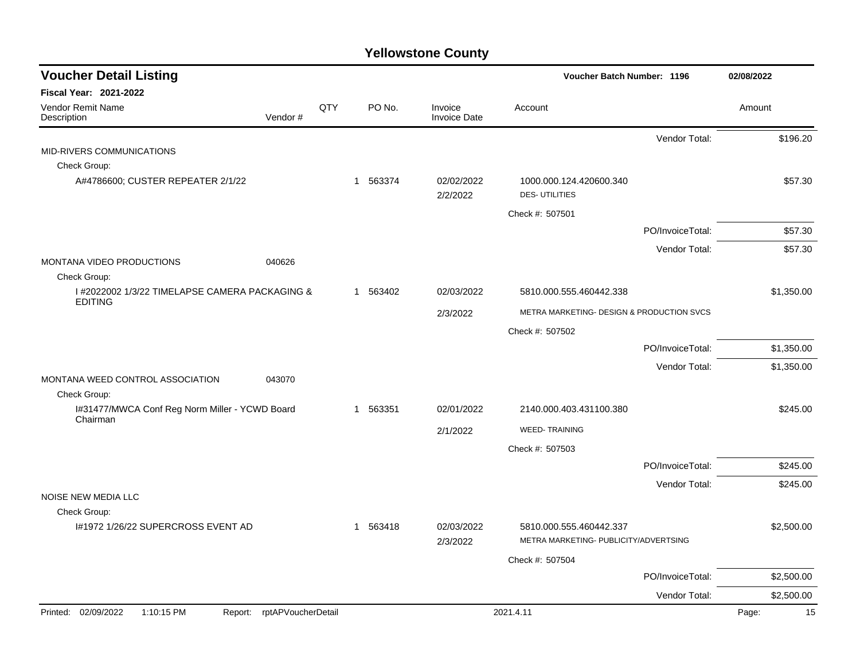| <b>Voucher Detail Listing</b>                              |                    |     |          |                                | Voucher Batch Number: 1196                                       |                  | 02/08/2022  |
|------------------------------------------------------------|--------------------|-----|----------|--------------------------------|------------------------------------------------------------------|------------------|-------------|
| Fiscal Year: 2021-2022                                     |                    |     |          |                                |                                                                  |                  |             |
| Vendor Remit Name<br>Description                           | Vendor#            | QTY | PO No.   | Invoice<br><b>Invoice Date</b> | Account                                                          |                  | Amount      |
|                                                            |                    |     |          |                                |                                                                  | Vendor Total:    | \$196.20    |
| MID-RIVERS COMMUNICATIONS                                  |                    |     |          |                                |                                                                  |                  |             |
| Check Group:                                               |                    |     |          |                                |                                                                  |                  |             |
| A#4786600; CUSTER REPEATER 2/1/22                          |                    |     | 1 563374 | 02/02/2022<br>2/2/2022         | 1000.000.124.420600.340<br><b>DES-UTILITIES</b>                  |                  | \$57.30     |
|                                                            |                    |     |          |                                | Check #: 507501                                                  |                  |             |
|                                                            |                    |     |          |                                |                                                                  | PO/InvoiceTotal: | \$57.30     |
|                                                            |                    |     |          |                                |                                                                  | Vendor Total:    | \$57.30     |
| MONTANA VIDEO PRODUCTIONS<br>Check Group:                  | 040626             |     |          |                                |                                                                  |                  |             |
| I #2022002 1/3/22 TIMELAPSE CAMERA PACKAGING &             |                    |     | 1 563402 | 02/03/2022                     | 5810.000.555.460442.338                                          |                  | \$1,350.00  |
| <b>EDITING</b>                                             |                    |     |          | 2/3/2022                       | METRA MARKETING- DESIGN & PRODUCTION SVCS                        |                  |             |
|                                                            |                    |     |          |                                | Check #: 507502                                                  |                  |             |
|                                                            |                    |     |          |                                |                                                                  | PO/InvoiceTotal: | \$1,350.00  |
|                                                            |                    |     |          |                                |                                                                  |                  |             |
| MONTANA WEED CONTROL ASSOCIATION                           | 043070             |     |          |                                |                                                                  | Vendor Total:    | \$1,350.00  |
| Check Group:                                               |                    |     |          |                                |                                                                  |                  |             |
| I#31477/MWCA Conf Reg Norm Miller - YCWD Board<br>Chairman |                    |     | 1 563351 | 02/01/2022                     | 2140.000.403.431100.380                                          |                  | \$245.00    |
|                                                            |                    |     |          | 2/1/2022                       | <b>WEED-TRAINING</b>                                             |                  |             |
|                                                            |                    |     |          |                                | Check #: 507503                                                  |                  |             |
|                                                            |                    |     |          |                                |                                                                  | PO/InvoiceTotal: | \$245.00    |
|                                                            |                    |     |          |                                |                                                                  | Vendor Total:    | \$245.00    |
| NOISE NEW MEDIA LLC                                        |                    |     |          |                                |                                                                  |                  |             |
| Check Group:                                               |                    |     |          |                                |                                                                  |                  |             |
| I#1972 1/26/22 SUPERCROSS EVENT AD                         |                    |     | 1 563418 | 02/03/2022<br>2/3/2022         | 5810.000.555.460442.337<br>METRA MARKETING- PUBLICITY/ADVERTSING |                  | \$2,500.00  |
|                                                            |                    |     |          |                                | Check #: 507504                                                  |                  |             |
|                                                            |                    |     |          |                                |                                                                  | PO/InvoiceTotal: | \$2,500.00  |
|                                                            |                    |     |          |                                |                                                                  | Vendor Total:    | \$2,500.00  |
| Printed: 02/09/2022<br>1:10:15 PM<br>Report:               | rptAPVoucherDetail |     |          |                                | 2021.4.11                                                        |                  | Page:<br>15 |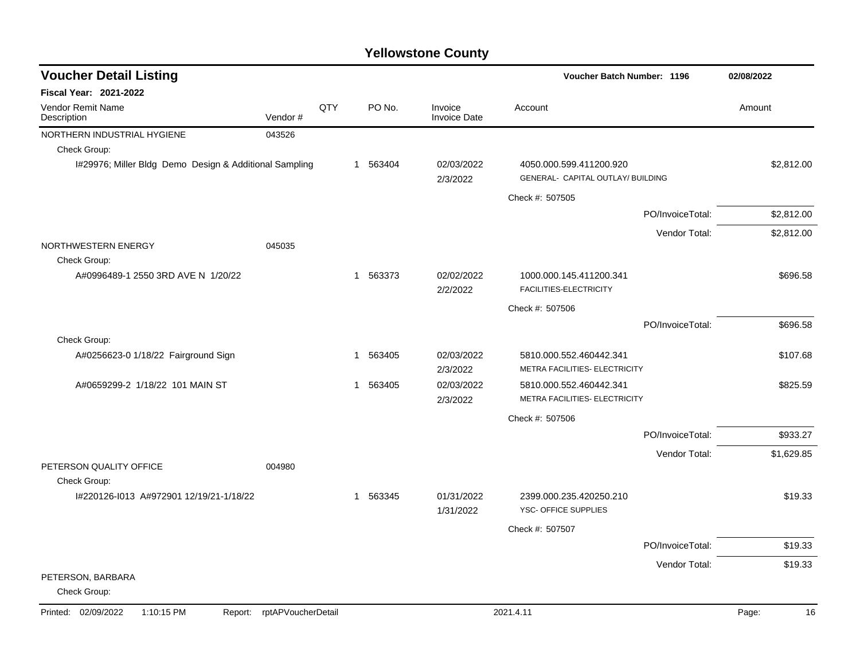| <b>Voucher Detail Listing</b>                          |                    |     |             |                                |                                                              | <b>Voucher Batch Number: 1196</b> |             |  |
|--------------------------------------------------------|--------------------|-----|-------------|--------------------------------|--------------------------------------------------------------|-----------------------------------|-------------|--|
| <b>Fiscal Year: 2021-2022</b>                          |                    |     |             |                                |                                                              |                                   |             |  |
| Vendor Remit Name<br>Description                       | Vendor#            | QTY | PO No.      | Invoice<br><b>Invoice Date</b> | Account                                                      |                                   | Amount      |  |
| NORTHERN INDUSTRIAL HYGIENE                            | 043526             |     |             |                                |                                                              |                                   |             |  |
| Check Group:                                           |                    |     |             |                                |                                                              |                                   |             |  |
| I#29976; Miller Bldg Demo Design & Additional Sampling |                    |     | 1 563404    | 02/03/2022<br>2/3/2022         | 4050.000.599.411200.920<br>GENERAL- CAPITAL OUTLAY/ BUILDING |                                   | \$2,812.00  |  |
|                                                        |                    |     |             |                                | Check #: 507505                                              |                                   |             |  |
|                                                        |                    |     |             |                                |                                                              | PO/InvoiceTotal:                  | \$2,812.00  |  |
|                                                        |                    |     |             |                                |                                                              | Vendor Total:                     | \$2,812.00  |  |
| NORTHWESTERN ENERGY<br>Check Group:                    | 045035             |     |             |                                |                                                              |                                   |             |  |
| A#0996489-1 2550 3RD AVE N 1/20/22                     |                    |     | 563373<br>1 | 02/02/2022<br>2/2/2022         | 1000.000.145.411200.341<br>FACILITIES-ELECTRICITY            |                                   | \$696.58    |  |
|                                                        |                    |     |             |                                | Check #: 507506                                              |                                   |             |  |
|                                                        |                    |     |             |                                |                                                              | PO/InvoiceTotal:                  | \$696.58    |  |
| Check Group:                                           |                    |     |             |                                |                                                              |                                   |             |  |
| A#0256623-0 1/18/22 Fairground Sign                    |                    |     | 563405<br>1 | 02/03/2022<br>2/3/2022         | 5810.000.552.460442.341<br>METRA FACILITIES- ELECTRICITY     |                                   | \$107.68    |  |
| A#0659299-2 1/18/22 101 MAIN ST                        |                    |     | 563405<br>1 | 02/03/2022<br>2/3/2022         | 5810.000.552.460442.341<br>METRA FACILITIES- ELECTRICITY     |                                   | \$825.59    |  |
|                                                        |                    |     |             |                                | Check #: 507506                                              |                                   |             |  |
|                                                        |                    |     |             |                                |                                                              | PO/InvoiceTotal:                  | \$933.27    |  |
|                                                        |                    |     |             |                                |                                                              | Vendor Total:                     | \$1,629.85  |  |
| PETERSON QUALITY OFFICE<br>Check Group:                | 004980             |     |             |                                |                                                              |                                   |             |  |
| I#220126-I013 A#972901 12/19/21-1/18/22                |                    |     | 563345<br>1 | 01/31/2022<br>1/31/2022        | 2399.000.235.420250.210<br>YSC- OFFICE SUPPLIES              |                                   | \$19.33     |  |
|                                                        |                    |     |             |                                | Check #: 507507                                              |                                   |             |  |
|                                                        |                    |     |             |                                |                                                              | PO/InvoiceTotal:                  | \$19.33     |  |
|                                                        |                    |     |             |                                |                                                              | Vendor Total:                     | \$19.33     |  |
| PETERSON, BARBARA<br>Check Group:                      |                    |     |             |                                |                                                              |                                   |             |  |
| Printed: 02/09/2022<br>1:10:15 PM<br>Report:           | rptAPVoucherDetail |     |             |                                | 2021.4.11                                                    |                                   | 16<br>Page: |  |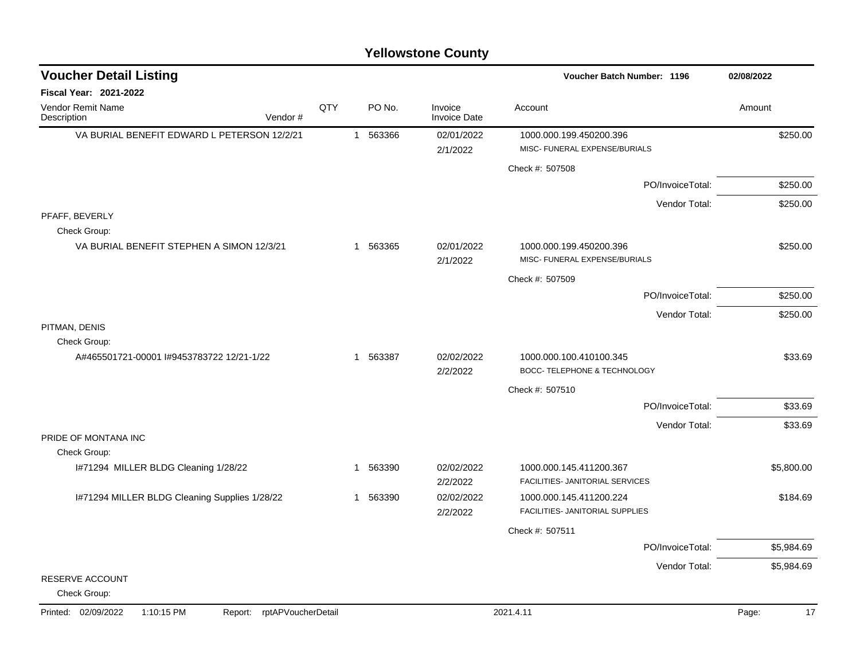| <b>Voucher Detail Listing</b>                        |                    |              |          |                                | Voucher Batch Number: 1196                                 | 02/08/2022  |
|------------------------------------------------------|--------------------|--------------|----------|--------------------------------|------------------------------------------------------------|-------------|
| Fiscal Year: 2021-2022                               |                    |              |          |                                |                                                            |             |
| Vendor Remit Name<br>Description<br>Vendor#          | QTY                |              | PO No.   | Invoice<br><b>Invoice Date</b> | Account                                                    | Amount      |
| VA BURIAL BENEFIT EDWARD L PETERSON 12/2/21          |                    |              | 1 563366 | 02/01/2022<br>2/1/2022         | 1000.000.199.450200.396<br>MISC- FUNERAL EXPENSE/BURIALS   | \$250.00    |
|                                                      |                    |              |          |                                | Check #: 507508                                            |             |
|                                                      |                    |              |          |                                | PO/InvoiceTotal:                                           | \$250.00    |
|                                                      |                    |              |          |                                | Vendor Total:                                              | \$250.00    |
| PFAFF, BEVERLY<br>Check Group:                       |                    |              |          |                                |                                                            |             |
| VA BURIAL BENEFIT STEPHEN A SIMON 12/3/21            |                    |              | 1 563365 | 02/01/2022<br>2/1/2022         | 1000.000.199.450200.396<br>MISC- FUNERAL EXPENSE/BURIALS   | \$250.00    |
|                                                      |                    |              |          |                                | Check #: 507509                                            |             |
|                                                      |                    |              |          |                                | PO/InvoiceTotal:                                           | \$250.00    |
|                                                      |                    |              |          |                                | Vendor Total:                                              | \$250.00    |
| PITMAN, DENIS<br>Check Group:                        |                    |              |          |                                |                                                            |             |
| A#465501721-00001 l#9453783722 12/21-1/22            |                    |              | 1 563387 | 02/02/2022<br>2/2/2022         | 1000.000.100.410100.345<br>BOCC- TELEPHONE & TECHNOLOGY    | \$33.69     |
|                                                      |                    |              |          |                                | Check #: 507510                                            |             |
|                                                      |                    |              |          |                                | PO/InvoiceTotal:                                           | \$33.69     |
|                                                      |                    |              |          |                                | Vendor Total:                                              | \$33.69     |
| PRIDE OF MONTANA INC                                 |                    |              |          |                                |                                                            |             |
| Check Group:<br>I#71294 MILLER BLDG Cleaning 1/28/22 |                    | $\mathbf{1}$ | 563390   | 02/02/2022<br>2/2/2022         | 1000.000.145.411200.367<br>FACILITIES- JANITORIAL SERVICES | \$5,800.00  |
| I#71294 MILLER BLDG Cleaning Supplies 1/28/22        |                    | -1           | 563390   | 02/02/2022<br>2/2/2022         | 1000.000.145.411200.224<br>FACILITIES- JANITORIAL SUPPLIES | \$184.69    |
|                                                      |                    |              |          |                                | Check #: 507511                                            |             |
|                                                      |                    |              |          |                                | PO/InvoiceTotal:                                           | \$5,984.69  |
|                                                      |                    |              |          |                                | Vendor Total:                                              | \$5,984.69  |
| RESERVE ACCOUNT<br>Check Group:                      |                    |              |          |                                |                                                            |             |
| Printed: 02/09/2022<br>1:10:15 PM<br>Report:         | rptAPVoucherDetail |              |          |                                | 2021.4.11                                                  | 17<br>Page: |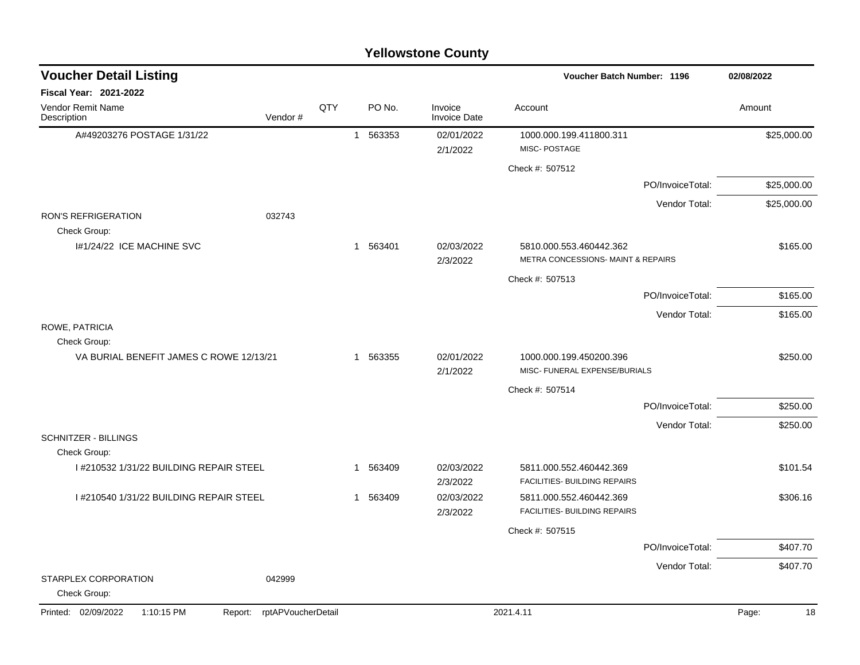| <b>Voucher Detail Listing</b>              |                               |     |                        |                                | Voucher Batch Number: 1196                                    | 02/08/2022       |             |
|--------------------------------------------|-------------------------------|-----|------------------------|--------------------------------|---------------------------------------------------------------|------------------|-------------|
| Fiscal Year: 2021-2022                     |                               |     |                        |                                |                                                               |                  |             |
| Vendor Remit Name<br>Description           | Vendor#                       | QTY | PO No.                 | Invoice<br><b>Invoice Date</b> | Account                                                       |                  | Amount      |
| A#49203276 POSTAGE 1/31/22                 |                               |     | 1 563353               | 02/01/2022                     | 1000.000.199.411800.311                                       |                  | \$25,000.00 |
|                                            |                               |     |                        | 2/1/2022                       | MISC-POSTAGE                                                  |                  |             |
|                                            |                               |     |                        |                                | Check #: 507512                                               |                  |             |
|                                            |                               |     |                        |                                |                                                               | PO/InvoiceTotal: | \$25,000.00 |
|                                            |                               |     |                        |                                |                                                               | Vendor Total:    | \$25,000.00 |
| <b>RON'S REFRIGERATION</b><br>Check Group: | 032743                        |     |                        |                                |                                                               |                  |             |
| I#1/24/22 ICE MACHINE SVC                  |                               |     | 1 563401               | 02/03/2022<br>2/3/2022         | 5810.000.553.460442.362<br>METRA CONCESSIONS- MAINT & REPAIRS |                  | \$165.00    |
|                                            |                               |     |                        |                                | Check #: 507513                                               |                  |             |
|                                            |                               |     |                        |                                |                                                               | PO/InvoiceTotal: | \$165.00    |
|                                            |                               |     |                        |                                |                                                               | Vendor Total:    | \$165.00    |
| ROWE, PATRICIA<br>Check Group:             |                               |     |                        |                                |                                                               |                  |             |
| VA BURIAL BENEFIT JAMES C ROWE 12/13/21    |                               |     | 1 563355               | 02/01/2022<br>2/1/2022         | 1000.000.199.450200.396<br>MISC- FUNERAL EXPENSE/BURIALS      |                  | \$250.00    |
|                                            |                               |     |                        |                                | Check #: 507514                                               |                  |             |
|                                            |                               |     |                        |                                |                                                               | PO/InvoiceTotal: | \$250.00    |
|                                            |                               |     |                        |                                |                                                               | Vendor Total:    | \$250.00    |
| <b>SCHNITZER - BILLINGS</b>                |                               |     |                        |                                |                                                               |                  |             |
| Check Group:                               |                               |     |                        |                                |                                                               |                  |             |
| I #210532 1/31/22 BUILDING REPAIR STEEL    |                               |     | 563409<br>$\mathbf{1}$ | 02/03/2022<br>2/3/2022         | 5811.000.552.460442.369<br>FACILITIES- BUILDING REPAIRS       |                  | \$101.54    |
| I #210540 1/31/22 BUILDING REPAIR STEEL    |                               |     | 563409<br>$\mathbf{1}$ | 02/03/2022                     | 5811.000.552.460442.369                                       |                  | \$306.16    |
|                                            |                               |     |                        | 2/3/2022                       | FACILITIES- BUILDING REPAIRS                                  |                  |             |
|                                            |                               |     |                        |                                | Check #: 507515                                               |                  |             |
|                                            |                               |     |                        |                                |                                                               | PO/InvoiceTotal: | \$407.70    |
|                                            |                               |     |                        |                                |                                                               | Vendor Total:    | \$407.70    |
| STARPLEX CORPORATION<br>Check Group:       | 042999                        |     |                        |                                |                                                               |                  |             |
| Printed: 02/09/2022<br>1:10:15 PM          | rptAPVoucherDetail<br>Report: |     |                        |                                | 2021.4.11                                                     |                  | Page:<br>18 |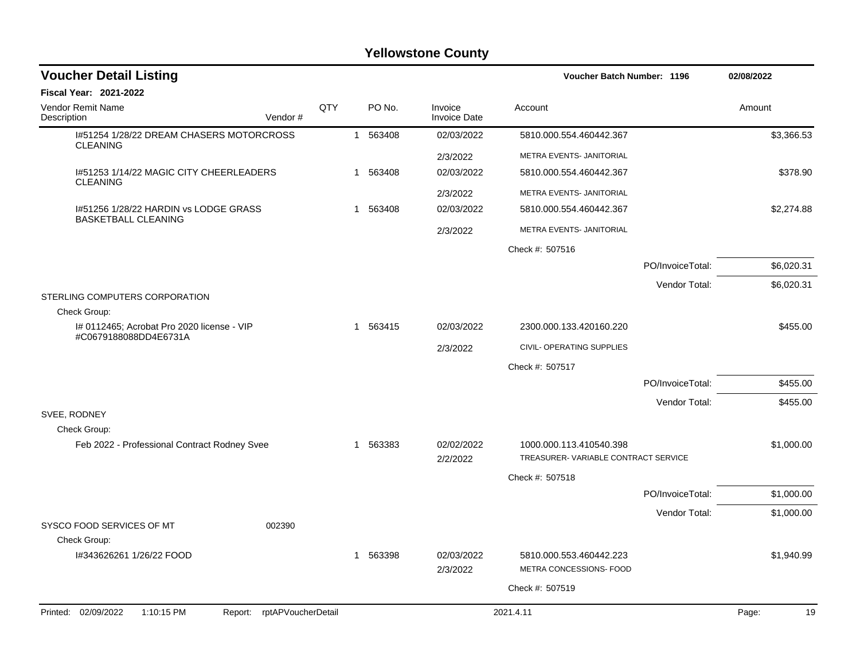| <b>Voucher Detail Listing</b>                                      |     |   |          |                                | <b>Voucher Batch Number: 1196</b>                              |                  | 02/08/2022 |
|--------------------------------------------------------------------|-----|---|----------|--------------------------------|----------------------------------------------------------------|------------------|------------|
| Fiscal Year: 2021-2022                                             |     |   |          |                                |                                                                |                  |            |
| <b>Vendor Remit Name</b><br>Description<br>Vendor#                 | QTY |   | PO No.   | Invoice<br><b>Invoice Date</b> | Account                                                        |                  | Amount     |
| 1#51254 1/28/22 DREAM CHASERS MOTORCROSS<br><b>CLEANING</b>        |     |   | 1 563408 | 02/03/2022                     | 5810.000.554.460442.367                                        |                  | \$3,366.53 |
|                                                                    |     |   |          | 2/3/2022                       | METRA EVENTS- JANITORIAL                                       |                  |            |
| I#51253 1/14/22 MAGIC CITY CHEERLEADERS                            |     |   | 1 563408 | 02/03/2022                     | 5810.000.554.460442.367                                        |                  | \$378.90   |
| <b>CLEANING</b>                                                    |     |   |          | 2/3/2022                       | METRA EVENTS- JANITORIAL                                       |                  |            |
| 1#51256 1/28/22 HARDIN vs LODGE GRASS                              |     |   | 1 563408 | 02/03/2022                     | 5810.000.554.460442.367                                        |                  | \$2,274.88 |
| <b>BASKETBALL CLEANING</b>                                         |     |   |          | 2/3/2022                       | METRA EVENTS- JANITORIAL                                       |                  |            |
|                                                                    |     |   |          |                                | Check #: 507516                                                |                  |            |
|                                                                    |     |   |          |                                |                                                                | PO/InvoiceTotal: | \$6,020.31 |
|                                                                    |     |   |          |                                |                                                                | Vendor Total:    | \$6,020.31 |
| STERLING COMPUTERS CORPORATION<br>Check Group:                     |     |   |          |                                |                                                                |                  |            |
| # 0112465; Acrobat Pro 2020 license - VIP<br>#C0679188088DD4E6731A |     |   | 1 563415 | 02/03/2022                     | 2300.000.133.420160.220                                        |                  | \$455.00   |
|                                                                    |     |   |          | 2/3/2022                       | CIVIL- OPERATING SUPPLIES                                      |                  |            |
|                                                                    |     |   |          |                                | Check #: 507517                                                |                  |            |
|                                                                    |     |   |          |                                |                                                                | PO/InvoiceTotal: | \$455.00   |
|                                                                    |     |   |          |                                |                                                                | Vendor Total:    | \$455.00   |
| SVEE, RODNEY<br>Check Group:                                       |     |   |          |                                |                                                                |                  |            |
| Feb 2022 - Professional Contract Rodney Svee                       |     | 1 | 563383   | 02/02/2022<br>2/2/2022         | 1000.000.113.410540.398<br>TREASURER-VARIABLE CONTRACT SERVICE |                  | \$1,000.00 |
|                                                                    |     |   |          |                                | Check #: 507518                                                |                  |            |
|                                                                    |     |   |          |                                |                                                                | PO/InvoiceTotal: | \$1,000.00 |
|                                                                    |     |   |          |                                |                                                                | Vendor Total:    | \$1,000.00 |
| SYSCO FOOD SERVICES OF MT<br>002390<br>Check Group:                |     |   |          |                                |                                                                |                  |            |
| I#343626261 1/26/22 FOOD                                           |     | 1 | 563398   | 02/03/2022<br>2/3/2022         | 5810.000.553.460442.223<br>METRA CONCESSIONS- FOOD             |                  | \$1,940.99 |
|                                                                    |     |   |          |                                | Check #: 507519                                                |                  |            |
| Printed: 02/09/2022<br>1:10:15 PM<br>Report: rptAPVoucherDetail    |     |   |          |                                | 2021.4.11                                                      |                  | 19         |
|                                                                    |     |   |          |                                |                                                                |                  | Page:      |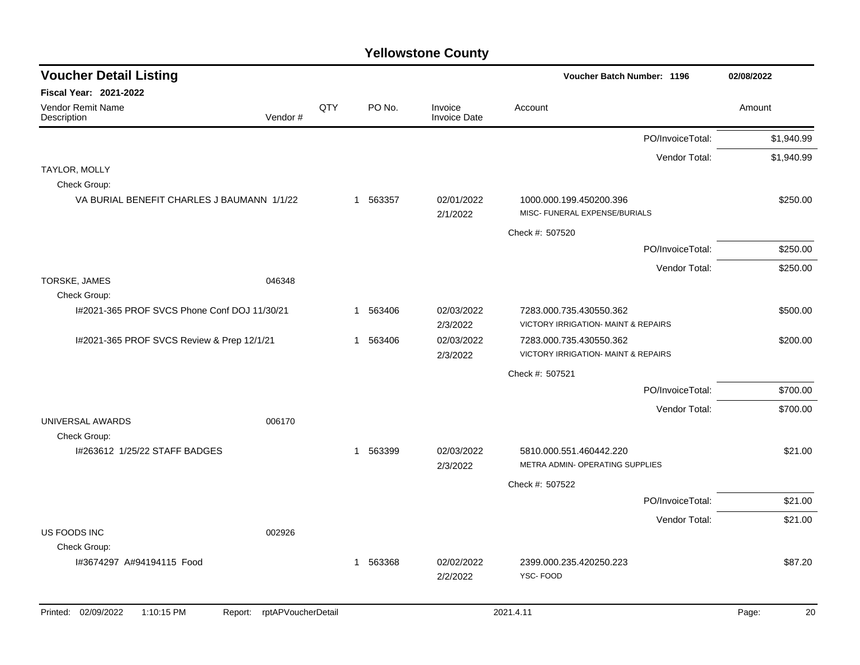| <b>Voucher Detail Listing</b>                 |                               |     |          |                                | <b>Voucher Batch Number: 1196</b>                        | 02/08/2022  |
|-----------------------------------------------|-------------------------------|-----|----------|--------------------------------|----------------------------------------------------------|-------------|
| Fiscal Year: 2021-2022                        |                               |     |          |                                |                                                          |             |
| Vendor Remit Name<br>Description              | Vendor#                       | QTY | PO No.   | Invoice<br><b>Invoice Date</b> | Account                                                  | Amount      |
|                                               |                               |     |          |                                | PO/InvoiceTotal:                                         | \$1,940.99  |
|                                               |                               |     |          |                                | Vendor Total:                                            | \$1,940.99  |
| TAYLOR, MOLLY                                 |                               |     |          |                                |                                                          |             |
| Check Group:                                  |                               |     |          |                                |                                                          |             |
| VA BURIAL BENEFIT CHARLES J BAUMANN 1/1/22    |                               |     | 1 563357 | 02/01/2022<br>2/1/2022         | 1000.000.199.450200.396<br>MISC- FUNERAL EXPENSE/BURIALS | \$250.00    |
|                                               |                               |     |          |                                | Check #: 507520                                          |             |
|                                               |                               |     |          |                                | PO/InvoiceTotal:                                         | \$250.00    |
|                                               |                               |     |          |                                | Vendor Total:                                            | \$250.00    |
| TORSKE, JAMES<br>Check Group:                 | 046348                        |     |          |                                |                                                          |             |
| I#2021-365 PROF SVCS Phone Conf DOJ 11/30/21  |                               |     | 1 563406 | 02/03/2022                     | 7283.000.735.430550.362                                  | \$500.00    |
|                                               |                               |     |          | 2/3/2022                       | VICTORY IRRIGATION- MAINT & REPAIRS                      |             |
| I#2021-365 PROF SVCS Review & Prep 12/1/21    |                               |     | 1 563406 | 02/03/2022                     | 7283.000.735.430550.362                                  | \$200.00    |
|                                               |                               |     |          | 2/3/2022                       | <b>VICTORY IRRIGATION- MAINT &amp; REPAIRS</b>           |             |
|                                               |                               |     |          |                                | Check #: 507521                                          |             |
|                                               |                               |     |          |                                | PO/InvoiceTotal:                                         | \$700.00    |
|                                               |                               |     |          |                                | Vendor Total:                                            | \$700.00    |
| UNIVERSAL AWARDS                              | 006170                        |     |          |                                |                                                          |             |
| Check Group:<br>I#263612 1/25/22 STAFF BADGES |                               |     | 1 563399 | 02/03/2022                     | 5810.000.551.460442.220                                  | \$21.00     |
|                                               |                               |     |          | 2/3/2022                       | METRA ADMIN- OPERATING SUPPLIES                          |             |
|                                               |                               |     |          |                                | Check #: 507522                                          |             |
|                                               |                               |     |          |                                | PO/InvoiceTotal:                                         | \$21.00     |
|                                               |                               |     |          |                                | Vendor Total:                                            | \$21.00     |
| US FOODS INC                                  | 002926                        |     |          |                                |                                                          |             |
| Check Group:                                  |                               |     |          |                                |                                                          |             |
| I#3674297 A#94194115 Food                     |                               |     | 1 563368 | 02/02/2022                     | 2399.000.235.420250.223                                  | \$87.20     |
|                                               |                               |     |          | 2/2/2022                       | YSC-FOOD                                                 |             |
|                                               |                               |     |          |                                |                                                          |             |
| Printed: 02/09/2022<br>1:10:15 PM             | rptAPVoucherDetail<br>Report: |     |          |                                | 2021.4.11                                                | 20<br>Page: |